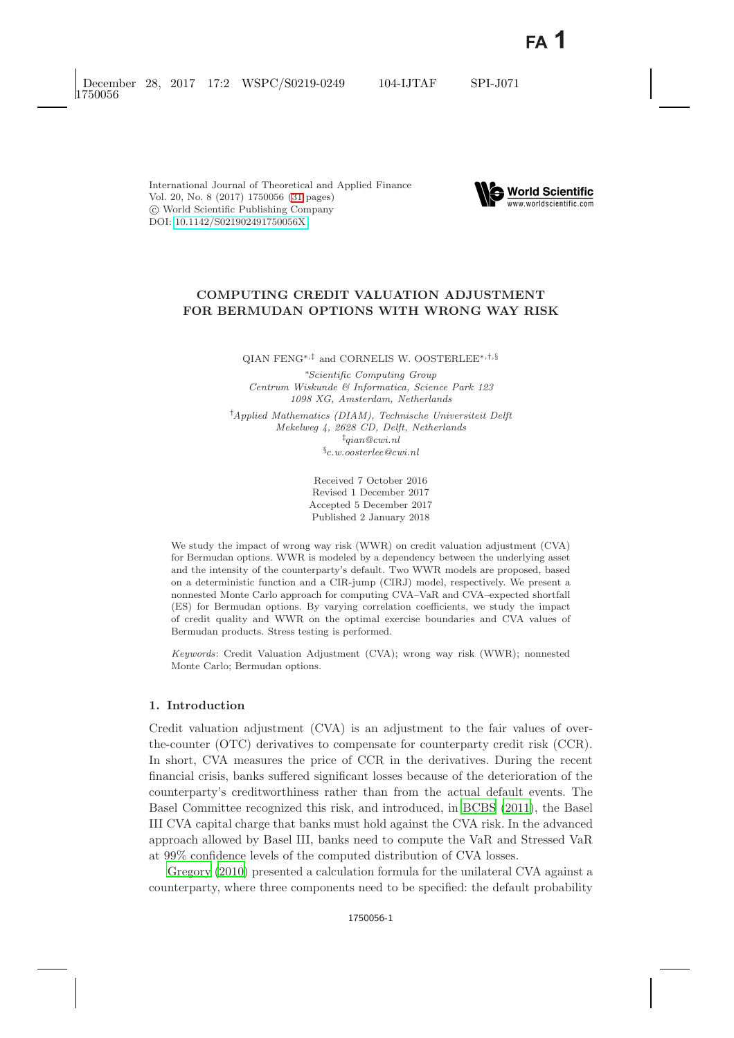

# **COMPUTING CREDIT VALUATION ADJUSTMENT FOR BERMUDAN OPTIONS WITH WRONG WAY RISK**

QIAN FENG∗*,*‡ and CORNELIS W. OOSTERLEE∗*,*†*,*§

∗*Scientific Computing Group Centrum Wiskunde & Informatica, Science Park 123 1098 XG, Amsterdam, Netherlands*

† *Applied Mathematics (DIAM), Technische Universiteit Delft Mekelweg 4, 2628 CD, Delft, Netherlands* ‡ *qian@cwi.nl* § *c.w.oosterlee@cwi.nl*

> Received 7 October 2016 Revised 1 December 2017 Accepted 5 December 2017 Published 2 January 2018

We study the impact of wrong way risk (WWR) on credit valuation adjustment (CVA) for Bermudan options. WWR is modeled by a dependency between the underlying asset and the intensity of the counterparty's default. Two WWR models are proposed, based on a deterministic function and a CIR-jump (CIRJ) model, respectively. We present a nonnested Monte Carlo approach for computing CVA–VaR and CVA–expected shortfall (ES) for Bermudan options. By varying correlation coefficients, we study the impact of credit quality and WWR on the optimal exercise boundaries and CVA values of Bermudan products. Stress testing is performed.

*Keywords*: Credit Valuation Adjustment (CVA); wrong way risk (WWR); nonnested Monte Carlo; Bermudan options.

# **1. Introduction**

Credit valuation adjustment (CVA) is an adjustment to the fair values of overthe-counter (OTC) derivatives to compensate for counterparty credit risk (CCR). In short, CVA measures the price of CCR in the derivatives. During the recent financial crisis, banks suffered significant losses because of the deterioration of the counterparty's creditworthiness rather than from the actual default events. The Basel Committee recognized this risk, and introduced, in [BCBS](#page-29-1) [\(2011\)](#page-29-1), the Basel III CVA capital charge that banks must hold against the CVA risk. In the advanced approach allowed by Basel III, banks need to compute the VaR and Stressed VaR at 99% confidence levels of the computed distribution of CVA losses.

[Gregory](#page-30-0) [\(2010\)](#page-30-0) presented a calculation formula for the unilateral CVA against a counterparty, where three components need to be specified: the default probability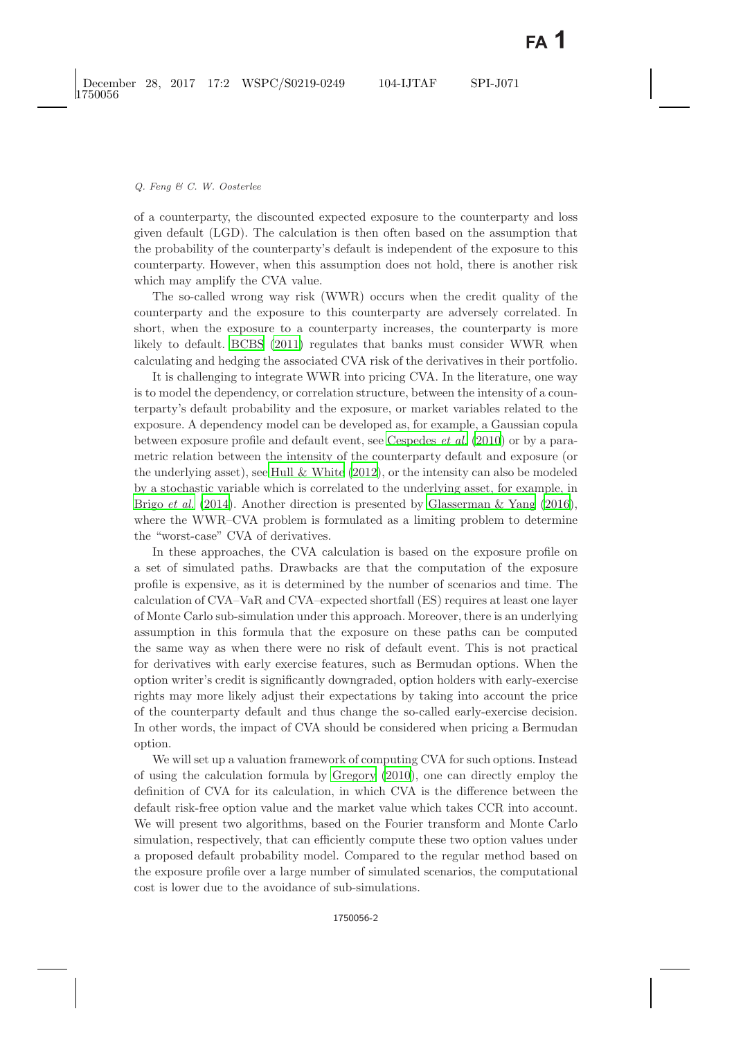of a counterparty, the discounted expected exposure to the counterparty and loss given default (LGD). The calculation is then often based on the assumption that the probability of the counterparty's default is independent of the exposure to this counterparty. However, when this assumption does not hold, there is another risk which may amplify the CVA value.

The so-called wrong way risk (WWR) occurs when the credit quality of the counterparty and the exposure to this counterparty are adversely correlated. In short, when the exposure to a counterparty increases, the counterparty is more likely to default. [BCBS](#page-29-2) [\(2011\)](#page-29-2) regulates that banks must consider WWR when calculating and hedging the associated CVA risk of the derivatives in their portfolio.

It is challenging to integrate WWR into pricing CVA. In the literature, one way is to model the dependency, or correlation structure, between the intensity of a counterparty's default probability and the exposure, or market variables related to the exposure. A dependency model can be developed as, for example, a Gaussian copula between exposure profile and default event, see [Cespedes](#page-29-3) *et al.* [\(2010\)](#page-29-3) or by a parametric relation between the intensity of the counterparty default and exposure (or the underlying asset), see Hull  $&$  White  $(2012)$ , or the intensity can also be modeled by a stochastic variable which is correlated to the underlying asset, for example, in Brigo *[et al.](#page-29-4)* [\(2014\)](#page-29-4). Another direction is presented by [Glasserman & Yang](#page-29-5) [\(2016\)](#page-29-5), where the WWR–CVA problem is formulated as a limiting problem to determine the "worst-case" CVA of derivatives.

In these approaches, the CVA calculation is based on the exposure profile on a set of simulated paths. Drawbacks are that the computation of the exposure profile is expensive, as it is determined by the number of scenarios and time. The calculation of CVA–VaR and CVA–expected shortfall (ES) requires at least one layer of Monte Carlo sub-simulation under this approach. Moreover, there is an underlying assumption in this formula that the exposure on these paths can be computed the same way as when there were no risk of default event. This is not practical for derivatives with early exercise features, such as Bermudan options. When the option writer's credit is significantly downgraded, option holders with early-exercise rights may more likely adjust their expectations by taking into account the price of the counterparty default and thus change the so-called early-exercise decision. In other words, the impact of CVA should be considered when pricing a Bermudan option.

We will set up a valuation framework of computing CVA for such options. Instead of using the calculation formula by [Gregory](#page-30-2) [\(2010\)](#page-30-2), one can directly employ the definition of CVA for its calculation, in which CVA is the difference between the default risk-free option value and the market value which takes CCR into account. We will present two algorithms, based on the Fourier transform and Monte Carlo simulation, respectively, that can efficiently compute these two option values under a proposed default probability model. Compared to the regular method based on the exposure profile over a large number of simulated scenarios, the computational cost is lower due to the avoidance of sub-simulations.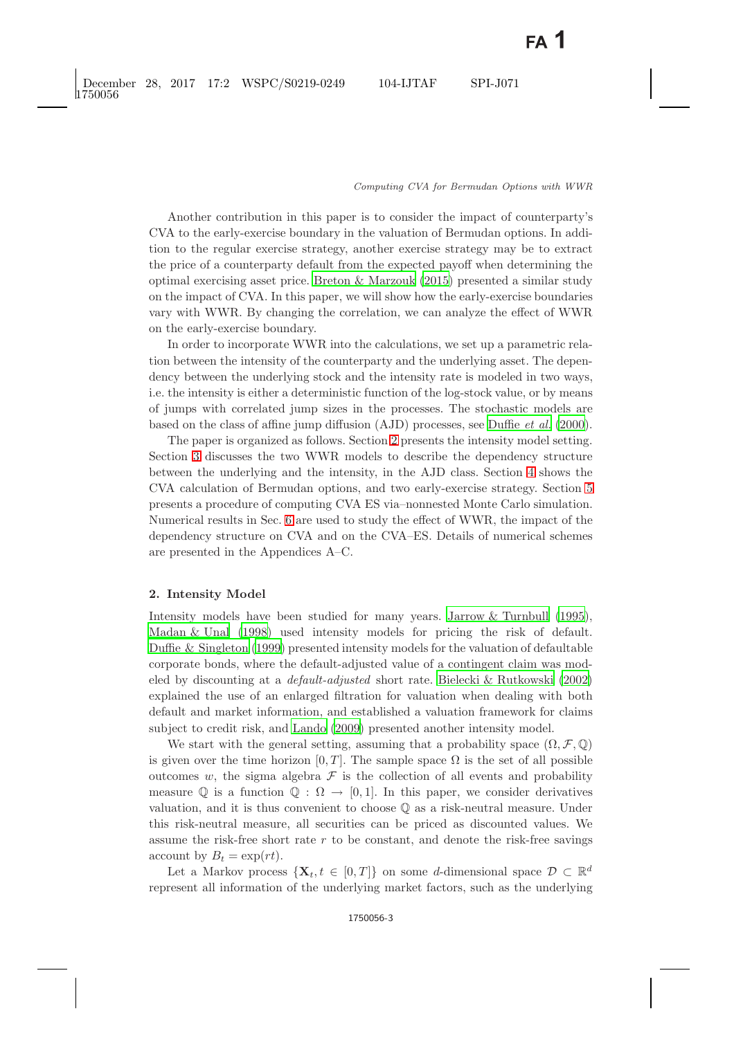Another contribution in this paper is to consider the impact of counterparty's CVA to the early-exercise boundary in the valuation of Bermudan options. In addition to the regular exercise strategy, another exercise strategy may be to extract the price of a counterparty default from the expected payoff when determining the optimal exercising asset price. [Breton & Marzouk](#page-29-6) [\(2015\)](#page-29-6) presented a similar study on the impact of CVA. In this paper, we will show how the early-exercise boundaries vary with WWR. By changing the correlation, we can analyze the effect of WWR on the early-exercise boundary.

In order to incorporate WWR into the calculations, we set up a parametric relation between the intensity of the counterparty and the underlying asset. The dependency between the underlying stock and the intensity rate is modeled in two ways, i.e. the intensity is either a deterministic function of the log-stock value, or by means of jumps with correlated jump sizes in the processes. The stochastic models are based on the class of affine jump diffusion (AJD) processes, see [Duffie](#page-29-7) *et al.* [\(2000\)](#page-29-7).

The paper is organized as follows. Section [2](#page-2-0) presents the intensity model setting. Section [3](#page-4-0) discusses the two WWR models to describe the dependency structure between the underlying and the intensity, in the AJD class. Section [4](#page-7-0) shows the CVA calculation of Bermudan options, and two early-exercise strategy. Section [5](#page-12-0) presents a procedure of computing CVA ES via–nonnested Monte Carlo simulation. Numerical results in Sec. [6](#page-14-0) are used to study the effect of WWR, the impact of the dependency structure on CVA and on the CVA–ES. Details of numerical schemes are presented in the Appendices A–C.

### <span id="page-2-0"></span>**2. Intensity Model**

Intensity models have been studied for many years. [Jarrow & Turnbull](#page-30-3) [\(1995\)](#page-30-3), [Madan & Unal](#page-30-4) [\(1998\)](#page-30-4) used intensity models for pricing the risk of default. [Duffie & Singleton](#page-29-8) [\(1999\)](#page-29-8) presented intensity models for the valuation of defaultable corporate bonds, where the default-adjusted value of a contingent claim was modeled by discounting at a *default-adjusted* short rate. [Bielecki & Rutkowski](#page-29-9) [\(2002\)](#page-29-9) explained the use of an enlarged filtration for valuation when dealing with both default and market information, and established a valuation framework for claims subject to credit risk, and [Lando](#page-30-5) [\(2009\)](#page-30-5) presented another intensity model.

We start with the general setting, assuming that a probability space  $(\Omega, \mathcal{F}, \mathbb{Q})$ is given over the time horizon [0, T]. The sample space  $\Omega$  is the set of all possible outcomes w, the sigma algebra  $\mathcal F$  is the collection of all events and probability measure Q is a function  $\mathbb{Q} : \Omega \to [0, 1]$ . In this paper, we consider derivatives valuation, and it is thus convenient to choose Q as a risk-neutral measure. Under this risk-neutral measure, all securities can be priced as discounted values. We assume the risk-free short rate  $r$  to be constant, and denote the risk-free savings account by  $B_t = \exp(rt)$ .

Let a Markov process  $\{X_t, t \in [0,T]\}\$ on some d-dimensional space  $\mathcal{D} \subset \mathbb{R}^d$ represent all information of the underlying market factors, such as the underlying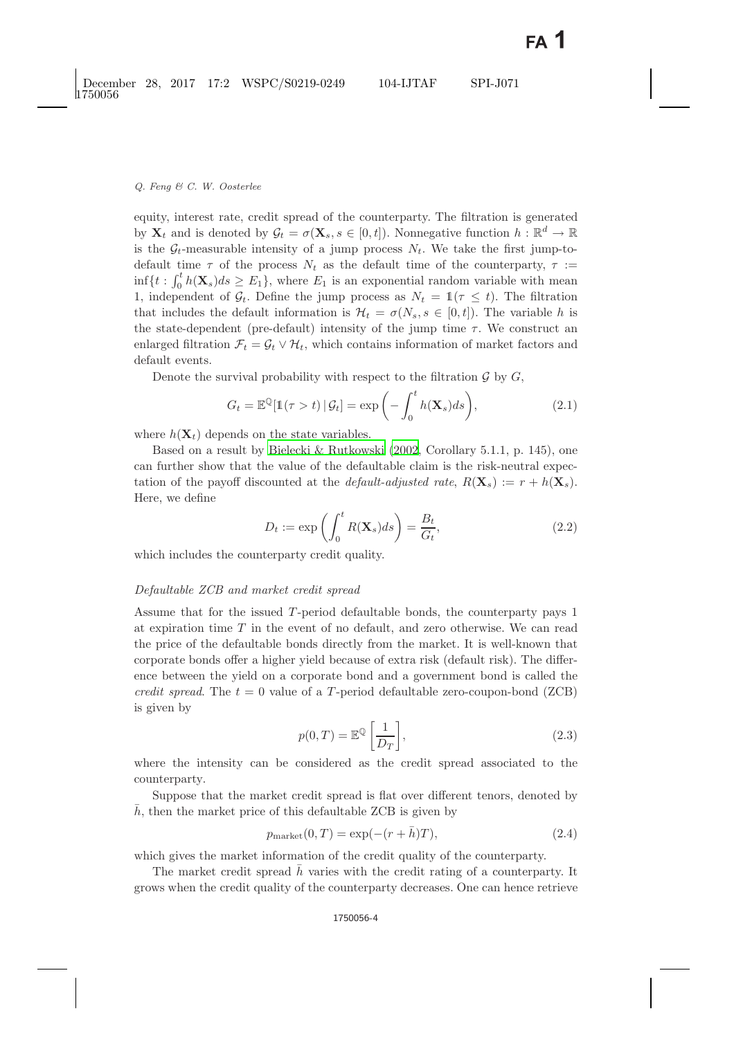equity, interest rate, credit spread of the counterparty. The filtration is generated by  $\mathbf{X}_t$  and is denoted by  $\mathcal{G}_t = \sigma(\mathbf{X}_s, s \in [0, t])$ . Nonnegative function  $h : \mathbb{R}^d \to \mathbb{R}$ is the  $\mathcal{G}_t$ -measurable intensity of a jump process  $N_t$ . We take the first jump-todefault time  $\tau$  of the process  $N_t$  as the default time of the counterparty,  $\tau :=$  $\inf\{t: \int_0^t h(\mathbf{X}_s)ds \geq E_1\}$ , where  $E_1$  is an exponential random variable with mean 1, independent of  $\mathcal{G}_t$ . Define the jump process as  $N_t = \mathbb{1}(\tau \leq t)$ . The filtration that includes the default information is  $\mathcal{H}_t = \sigma(N_s, s \in [0, t])$ . The variable h is the state-dependent (pre-default) intensity of the jump time  $\tau$ . We construct an enlarged filtration  $\mathcal{F}_t = \mathcal{G}_t \vee \mathcal{H}_t$ , which contains information of market factors and default events.

Denote the survival probability with respect to the filtration  $\mathcal G$  by  $G$ ,

$$
G_t = \mathbb{E}^{\mathbb{Q}}[\mathbb{1}(\tau > t) | \mathcal{G}_t] = \exp\left(-\int_0^t h(\mathbf{X}_s)ds\right),\tag{2.1}
$$

where  $h(\mathbf{X}_t)$  depends on the state variables.

Based on a result by [Bielecki & Rutkowski](#page-29-10) [\(2002](#page-29-10), Corollary 5.1.1, p. 145), one can further show that the value of the defaultable claim is the risk-neutral expectation of the payoff discounted at the *default-adjusted rate*,  $R(\mathbf{X}_s) := r + h(\mathbf{X}_s)$ . Here, we define

$$
D_t := \exp\left(\int_0^t R(\mathbf{X}_s)ds\right) = \frac{B_t}{G_t},\tag{2.2}
$$

which includes the counterparty credit quality.

# *Defaultable ZCB and market credit spread*

Assume that for the issued T-period defaultable bonds, the counterparty pays 1 at expiration time  $T$  in the event of no default, and zero otherwise. We can read the price of the defaultable bonds directly from the market. It is well-known that corporate bonds offer a higher yield because of extra risk (default risk). The difference between the yield on a corporate bond and a government bond is called the *credit spread.* The  $t = 0$  value of a T-period defaultable zero-coupon-bond (ZCB) is given by

$$
p(0,T) = \mathbb{E}^{\mathbb{Q}}\left[\frac{1}{D_T}\right],\tag{2.3}
$$

<span id="page-3-0"></span>where the intensity can be considered as the credit spread associated to the counterparty.

Suppose that the market credit spread is flat over different tenors, denoted by  $h$ , then the market price of this defaultable ZCB is given by

$$
p_{\text{market}}(0, T) = \exp(-(r + \bar{h})T),\tag{2.4}
$$

<span id="page-3-1"></span>which gives the market information of the credit quality of the counterparty.

The market credit spread  $h$  varies with the credit rating of a counterparty. It grows when the credit quality of the counterparty decreases. One can hence retrieve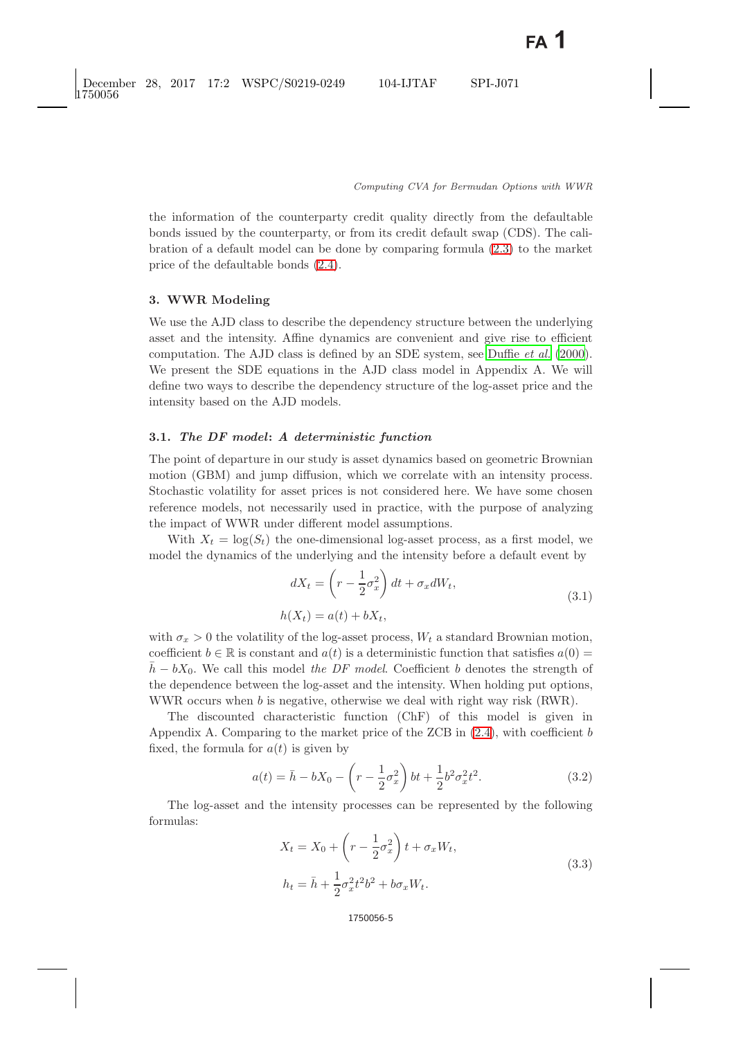the information of the counterparty credit quality directly from the defaultable bonds issued by the counterparty, or from its credit default swap (CDS). The calibration of a default model can be done by comparing formula [\(2.3\)](#page-3-0) to the market price of the defaultable bonds [\(2.4\)](#page-3-1).

### <span id="page-4-0"></span>**3. WWR Modeling**

We use the AJD class to describe the dependency structure between the underlying asset and the intensity. Affine dynamics are convenient and give rise to efficient computation. The AJD class is defined by an SDE system, see [Duffie](#page-29-7) *et al.* [\(2000\)](#page-29-7). We present the SDE equations in the AJD class model in Appendix A. We will define two ways to describe the dependency structure of the log-asset price and the intensity based on the AJD models.

# **3.1.** *The DF model***:** *A deterministic function*

The point of departure in our study is asset dynamics based on geometric Brownian motion (GBM) and jump diffusion, which we correlate with an intensity process. Stochastic volatility for asset prices is not considered here. We have some chosen reference models, not necessarily used in practice, with the purpose of analyzing the impact of WWR under different model assumptions.

With  $X_t = \log(S_t)$  the one-dimensional log-asset process, as a first model, we model the dynamics of the underlying and the intensity before a default event by

$$
dX_t = \left(r - \frac{1}{2}\sigma_x^2\right)dt + \sigma_x dW_t,
$$
  
\n
$$
h(X_t) = a(t) + bX_t,
$$
\n(3.1)

with  $\sigma_x > 0$  the volatility of the log-asset process,  $W_t$  a standard Brownian motion, coefficient  $b \in \mathbb{R}$  is constant and  $a(t)$  is a deterministic function that satisfies  $a(0)$  =  $\bar{h} - bX_0$ . We call this model *the DF model*. Coefficient b denotes the strength of the dependence between the log-asset and the intensity. When holding put options, WWR occurs when b is negative, otherwise we deal with right way risk (RWR).

The discounted characteristic function (ChF) of this model is given in Appendix A. Comparing to the market price of the ZCB in  $(2.4)$ , with coefficient b fixed, the formula for  $a(t)$  is given by

$$
a(t) = \bar{h} - bX_0 - \left(r - \frac{1}{2}\sigma_x^2\right)bt + \frac{1}{2}b^2\sigma_x^2t^2.
$$
 (3.2)

<span id="page-4-2"></span><span id="page-4-1"></span>The log-asset and the intensity processes can be represented by the following formulas:

$$
X_t = X_0 + \left(r - \frac{1}{2}\sigma_x^2\right)t + \sigma_x W_t,
$$
  
\n
$$
h_t = \bar{h} + \frac{1}{2}\sigma_x^2 t^2 b^2 + b\sigma_x W_t.
$$
\n(3.3)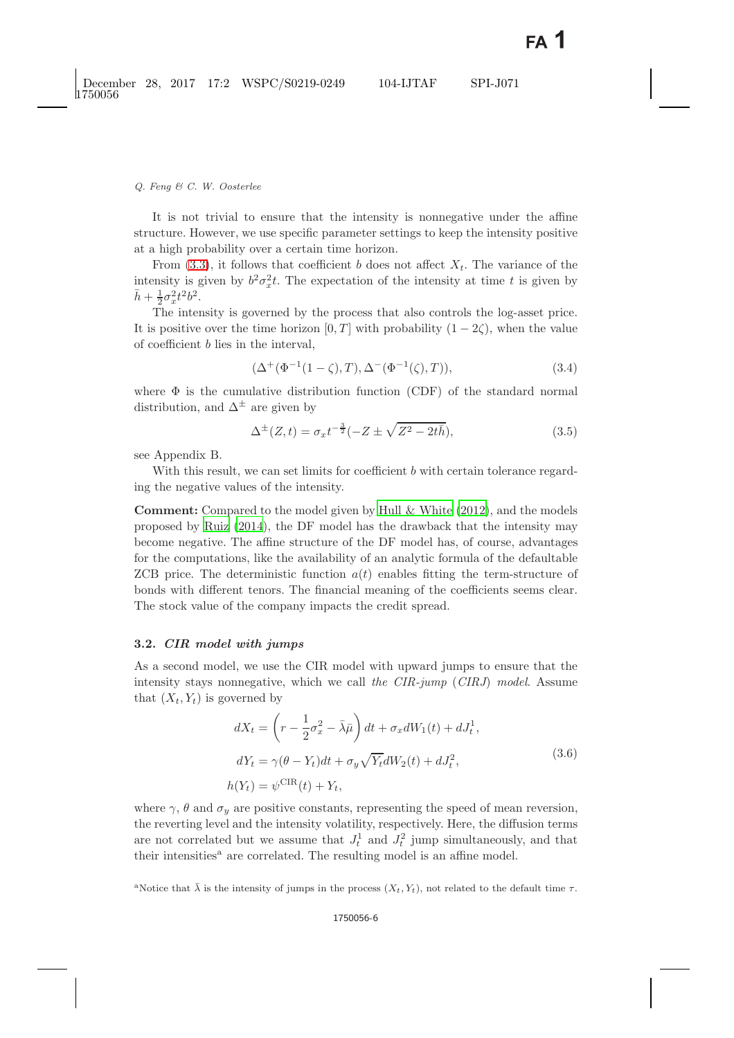It is not trivial to ensure that the intensity is nonnegative under the affine structure. However, we use specific parameter settings to keep the intensity positive at a high probability over a certain time horizon.

From [\(3.3\)](#page-4-1), it follows that coefficient b does not affect  $X_t$ . The variance of the intensity is given by  $b^2 \sigma_x^2 t$ . The expectation of the intensity at time t is given by  $\bar{h} + \frac{1}{2}\sigma_x^2 t^2 b^2$ .<br>The inter-

The intensity is governed by the process that also controls the log-asset price. It is positive over the time horizon [0, T] with probability  $(1 - 2\zeta)$ , when the value of coefficient b lies in the interval,

$$
(\Delta^+(\Phi^{-1}(1-\zeta),T), \Delta^-(\Phi^{-1}(\zeta),T)), \tag{3.4}
$$

where  $\Phi$  is the cumulative distribution function (CDF) of the standard normal distribution, and  $\Delta^{\pm}$  are given by

$$
\Delta^{\pm}(Z,t) = \sigma_x t^{-\frac{3}{2}} (-Z \pm \sqrt{Z^2 - 2t\bar{h}}), \tag{3.5}
$$

see Appendix B.

With this result, we can set limits for coefficient b with certain tolerance regarding the negative values of the intensity.

**Comment:** Compared to the model given by [Hull & White](#page-30-1) [\(2012\)](#page-30-1), and the models proposed by [Ruiz](#page-30-6) [\(2014](#page-30-6)), the DF model has the drawback that the intensity may become negative. The affine structure of the DF model has, of course, advantages for the computations, like the availability of an analytic formula of the defaultable ZCB price. The deterministic function  $a(t)$  enables fitting the term-structure of bonds with different tenors. The financial meaning of the coefficients seems clear. The stock value of the company impacts the credit spread.

### **3.2.** *CIR model with jumps*

As a second model, we use the CIR model with upward jumps to ensure that the intensity stays nonnegative, which we call *the CIR-jump* (*CIRJ*) *model*. Assume that  $(X_t, Y_t)$  is governed by

$$
dX_t = \left(r - \frac{1}{2}\sigma_x^2 - \bar{\lambda}\bar{\mu}\right)dt + \sigma_x dW_1(t) + dJ_t^1,
$$
  
\n
$$
dY_t = \gamma(\theta - Y_t)dt + \sigma_y \sqrt{Y_t}dW_2(t) + dJ_t^2,
$$
\n
$$
h(Y_t) = \psi^{\text{CIR}}(t) + Y_t,
$$
\n(3.6)

<span id="page-5-1"></span><span id="page-5-0"></span>where  $\gamma$ ,  $\theta$  and  $\sigma_y$  are positive constants, representing the speed of mean reversion, the reverting level and the intensity volatility, respectively. Here, the diffusion terms are not correlated but we assume that  $J_t^1$  and  $J_t^2$  jump simultaneously, and that their intensities<sup> $a$ </sup> are correlated. The resulting model is an affine model.

<sup>a</sup>Notice that  $\bar{\lambda}$  is the intensity of jumps in the process  $(X_t, Y_t)$ , not related to the default time  $\tau$ .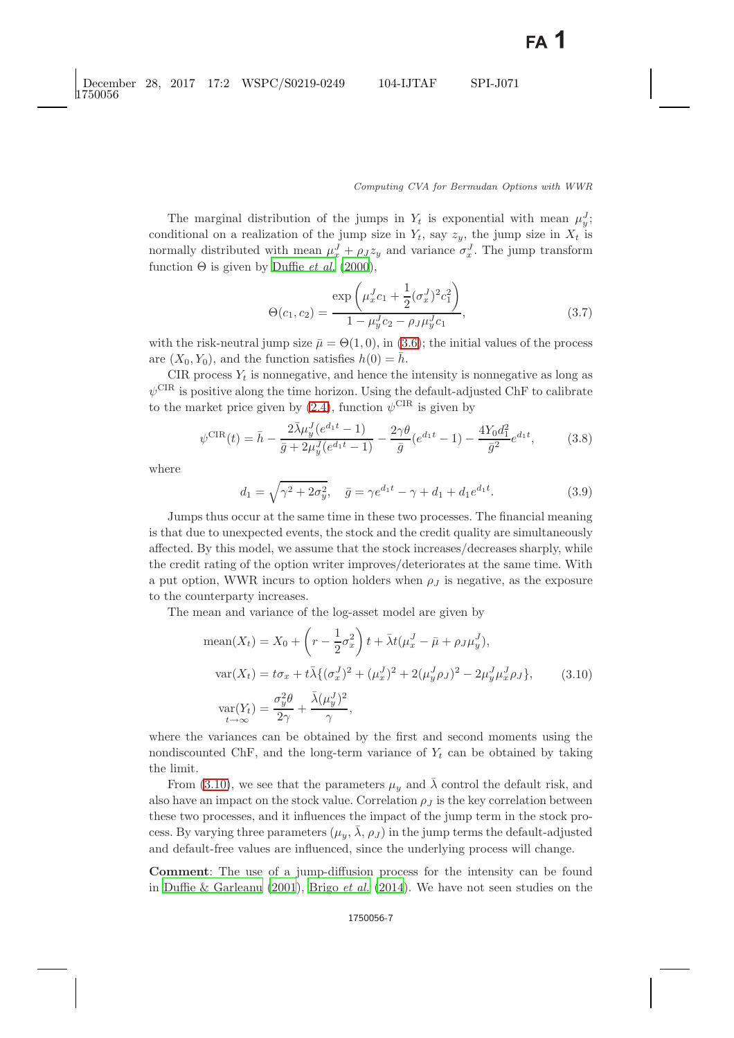The marginal distribution of the jumps in  $Y_t$  is exponential with mean  $\mu_v^J$ ; conditional on a realization of the jump size in  $Y_t$ , say  $z_y$ , the jump size in  $X_t$  is normally distributed with mean  $\mu_x^J + \rho_J z_y$  and variance  $\sigma_x^J$ . The jump transform function  $\Theta$  is given by [Duffie](#page-29-7) *et al.* [\(2000\)](#page-29-7),

$$
\Theta(c_1, c_2) = \frac{\exp\left(\mu_x^J c_1 + \frac{1}{2}(\sigma_x^J)^2 c_1^2\right)}{1 - \mu_y^J c_2 - \rho_J \mu_y^J c_1},
$$
\n(3.7)

with the risk-neutral jump size  $\bar{\mu} = \Theta(1,0)$ , in [\(3.6\)](#page-5-0); the initial values of the process are  $(X_0, Y_0)$ , and the function satisfies  $h(0) = \bar{h}$ .

CIR process  $Y_t$  is nonnegative, and hence the intensity is nonnegative as long as  $\psi^{\text{CIR}}$  is positive along the time horizon. Using the default-adjusted ChF to calibrate to the market price given by [\(2.4\)](#page-3-1), function  $\psi^{\text{CIR}}$  is given by

$$
\psi^{\text{CIR}}(t) = \bar{h} - \frac{2\bar{\lambda}\mu_y^J (e^{d_1 t} - 1)}{\bar{g} + 2\mu_y^J (e^{d_1 t} - 1)} - \frac{2\gamma\theta}{\bar{g}} (e^{d_1 t} - 1) - \frac{4Y_0 d_1^2}{\bar{g}^2} e^{d_1 t},\tag{3.8}
$$

<span id="page-6-1"></span>where

$$
d_1 = \sqrt{\gamma^2 + 2\sigma_y^2}, \quad \bar{g} = \gamma e^{d_1 t} - \gamma + d_1 + d_1 e^{d_1 t}.
$$
 (3.9)

Jumps thus occur at the same time in these two processes. The financial meaning is that due to unexpected events, the stock and the credit quality are simultaneously affected. By this model, we assume that the stock increases/decreases sharply, while the credit rating of the option writer improves/deteriorates at the same time. With a put option, WWR incurs to option holders when  $\rho_J$  is negative, as the exposure to the counterparty increases.

The mean and variance of the log-asset model are given by

mean
$$
(X_t)
$$
 =  $X_0 + \left(r - \frac{1}{2}\sigma_x^2\right)t + \bar{\lambda}t(\mu_x^J - \bar{\mu} + \rho_J\mu_y^J),$   
\n
$$
\text{var}(X_t) = t\sigma_x + t\bar{\lambda}\{(\sigma_x^J)^2 + (\mu_x^J)^2 + 2(\mu_y^J\rho_J)^2 - 2\mu_y^J\mu_x^J\rho_J\}, \qquad (3.10)
$$
\n
$$
\text{var}(Y_t) = \frac{\sigma_y^2 \theta}{2\gamma} + \frac{\bar{\lambda}(\mu_y^J)^2}{\gamma},
$$

<span id="page-6-0"></span>where the variances can be obtained by the first and second moments using the nondiscounted ChF, and the long-term variance of  $Y_t$  can be obtained by taking the limit.

From [\(3.10\)](#page-6-0), we see that the parameters  $\mu_y$  and  $\bar{\lambda}$  control the default risk, and also have an impact on the stock value. Correlation  $\rho_J$  is the key correlation between these two processes, and it influences the impact of the jump term in the stock process. By varying three parameters  $(\mu_u, \lambda, \rho_J)$  in the jump terms the default-adjusted and default-free values are influenced, since the underlying process will change.

**Comment**: The use of a jump-diffusion process for the intensity can be found in [Duffie & Garleanu](#page-29-11) [\(2001\)](#page-29-11), Brigo *[et al.](#page-29-12)* [\(2014\)](#page-29-12). We have not seen studies on the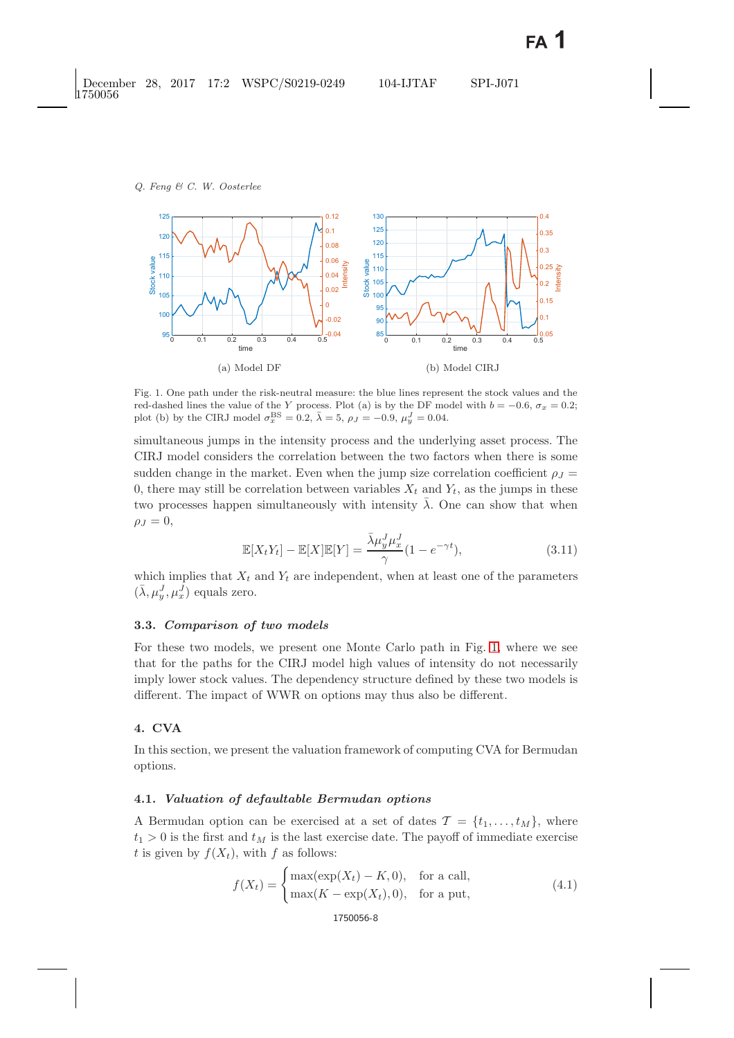

<span id="page-7-1"></span>Fig. 1. One path under the risk-neutral measure: the blue lines represent the stock values and the red-dashed lines the value of the Y process. Plot (a) is by the DF model with  $b = -0.6$ ,  $\sigma_x = 0.2$ ; plot (b) by the CIRJ model  $\sigma_x^{\text{BS}} = 0.2$ ,  $\bar{\lambda} = 5$ ,  $\rho_J = -0.9$ ,  $\mu_y^J = 0.04$ .

simultaneous jumps in the intensity process and the underlying asset process. The CIRJ model considers the correlation between the two factors when there is some sudden change in the market. Even when the jump size correlation coefficient  $\rho_J =$ 0, there may still be correlation between variables  $X_t$  and  $Y_t$ , as the jumps in these two processes happen simultaneously with intensity  $\bar{\lambda}$ . One can show that when  $\rho_J = 0$ ,

$$
\mathbb{E}[X_t Y_t] - \mathbb{E}[X] \mathbb{E}[Y] = \frac{\bar{\lambda} \mu_y^J \mu_x^J}{\gamma} (1 - e^{-\gamma t}),
$$
\n(3.11)

which implies that  $X_t$  and  $Y_t$  are independent, when at least one of the parameters  $(\bar{\lambda}, \mu_u^J, \mu_x^J)$  equals zero.

## **3.3.** *Comparison of two models*

For these two models, we present one Monte Carlo path in Fig. [1,](#page-7-1) where we see that for the paths for the CIRJ model high values of intensity do not necessarily imply lower stock values. The dependency structure defined by these two models is different. The impact of WWR on options may thus also be different.

## <span id="page-7-0"></span>**4. CVA**

In this section, we present the valuation framework of computing CVA for Bermudan options.

## **4.1.** *Valuation of defaultable Bermudan options*

A Bermudan option can be exercised at a set of dates  $\mathcal{T} = \{t_1, \ldots, t_M\}$ , where  $t_1 > 0$  is the first and  $t_M$  is the last exercise date. The payoff of immediate exercise t is given by  $f(X_t)$ , with f as follows:

$$
f(X_t) = \begin{cases} \max(\exp(X_t) - K, 0), & \text{for a call,} \\ \max(K - \exp(X_t), 0), & \text{for a put,} \end{cases} \tag{4.1}
$$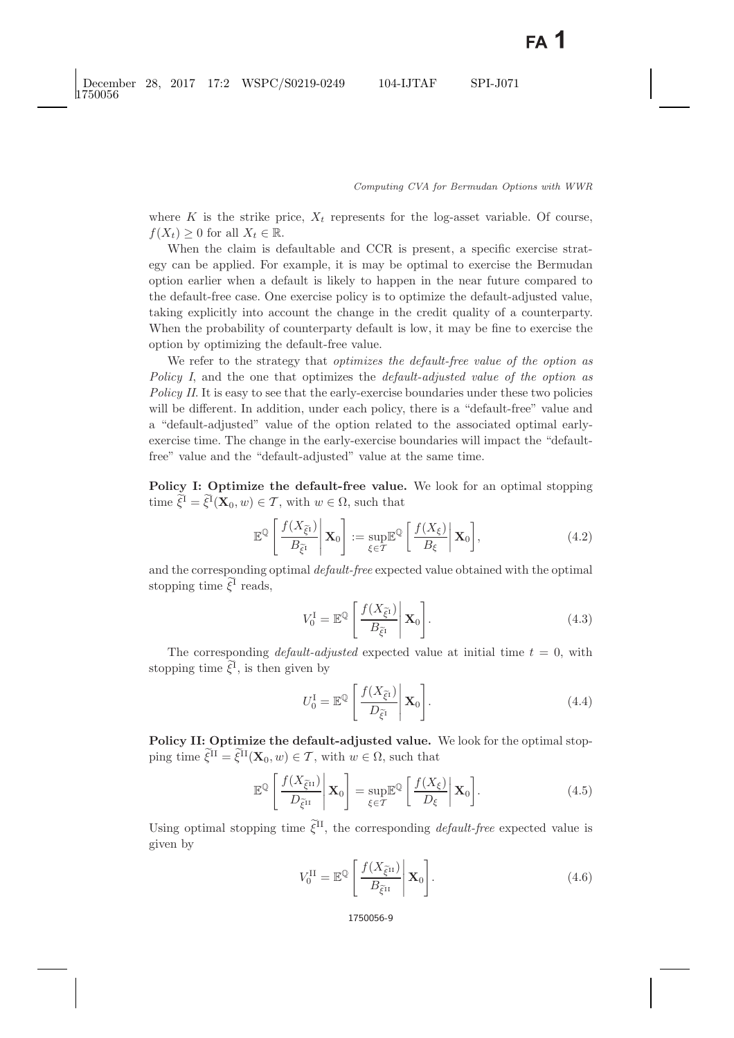where K is the strike price,  $X_t$  represents for the log-asset variable. Of course,  $f(X_t) > 0$  for all  $X_t \in \mathbb{R}$ .

When the claim is defaultable and CCR is present, a specific exercise strategy can be applied. For example, it is may be optimal to exercise the Bermudan option earlier when a default is likely to happen in the near future compared to the default-free case. One exercise policy is to optimize the default-adjusted value, taking explicitly into account the change in the credit quality of a counterparty. When the probability of counterparty default is low, it may be fine to exercise the option by optimizing the default-free value.

We refer to the strategy that *optimizes the default-free value of the option as Policy I*, and the one that optimizes the *default-adjusted value of the option as Policy II.* It is easy to see that the early-exercise boundaries under these two policies will be different. In addition, under each policy, there is a "default-free" value and a "default-adjusted" value of the option related to the associated optimal earlyexercise time. The change in the early-exercise boundaries will impact the "defaultfree" value and the "default-adjusted" value at the same time.

**Policy I: Optimize the default-free value.** We look for an optimal stopping time  $\xi^1 = \xi^1(\mathbf{X}_0, w) \in \mathcal{T}$ , with  $w \in \Omega$ , such that

$$
\mathbb{E}^{\mathbb{Q}}\left[\left.\frac{f(X_{\widetilde{\xi}^1})}{B_{\widetilde{\xi}^1}}\right|\mathbf{X}_0\right]:=\sup_{\xi\in\mathcal{T}}\mathbb{E}^{\mathbb{Q}}\left[\left.\frac{f(X_{\xi})}{B_{\xi}}\right|\mathbf{X}_0\right],\tag{4.2}
$$

<span id="page-8-3"></span><span id="page-8-0"></span>and the corresponding optimal *default-free* expected value obtained with the optimal stopping time  $\xi^1$  reads,

$$
V_0^{\text{I}} = \mathbb{E}^{\mathbb{Q}} \left[ \left. \frac{f(X_{\tilde{\xi}^{\text{I}}})}{B_{\tilde{\xi}^{\text{I}}}} \right| \mathbf{X}_0 \right]. \tag{4.3}
$$

The corresponding *default-adjusted* expected value at initial time  $t = 0$ , with stopping time  $\xi^1$ , is then given by

<span id="page-8-1"></span>
$$
U_0^{\text{I}} = \mathbb{E}^{\mathbb{Q}} \left[ \left. \frac{f(X_{\tilde{\xi}^{\text{I}}})}{D_{\tilde{\xi}^{\text{I}}}} \right| \mathbf{X}_0 \right]. \tag{4.4}
$$

**Policy II: Optimize the default-adjusted value.** We look for the optimal stopping time  $\xi^{\text{II}} = \xi^{\text{II}}(\mathbf{X}_0, w) \in \mathcal{T}$ , with  $w \in \Omega$ , such that

$$
\mathbb{E}^{\mathbb{Q}}\left[\frac{f(X_{\tilde{\xi}^{II}})}{D_{\tilde{\xi}^{II}}}\middle|\mathbf{X}_0\right] = \sup_{\xi \in \mathcal{T}} \mathbb{E}^{\mathbb{Q}}\left[\frac{f(X_{\xi})}{D_{\xi}}\middle|\mathbf{X}_0\right].
$$
\n(4.5)

<span id="page-8-4"></span><span id="page-8-2"></span>Using optimal stopping time  $\tilde{\xi}^{II}$ , the corresponding *default-free* expected value is given by

$$
V_0^{\text{II}} = \mathbb{E}^{\mathbb{Q}} \left[ \left. \frac{f(X_{\tilde{\xi}^{\text{II}}})}{B_{\tilde{\xi}^{\text{II}}}} \right| \mathbf{X}_0 \right]. \tag{4.6}
$$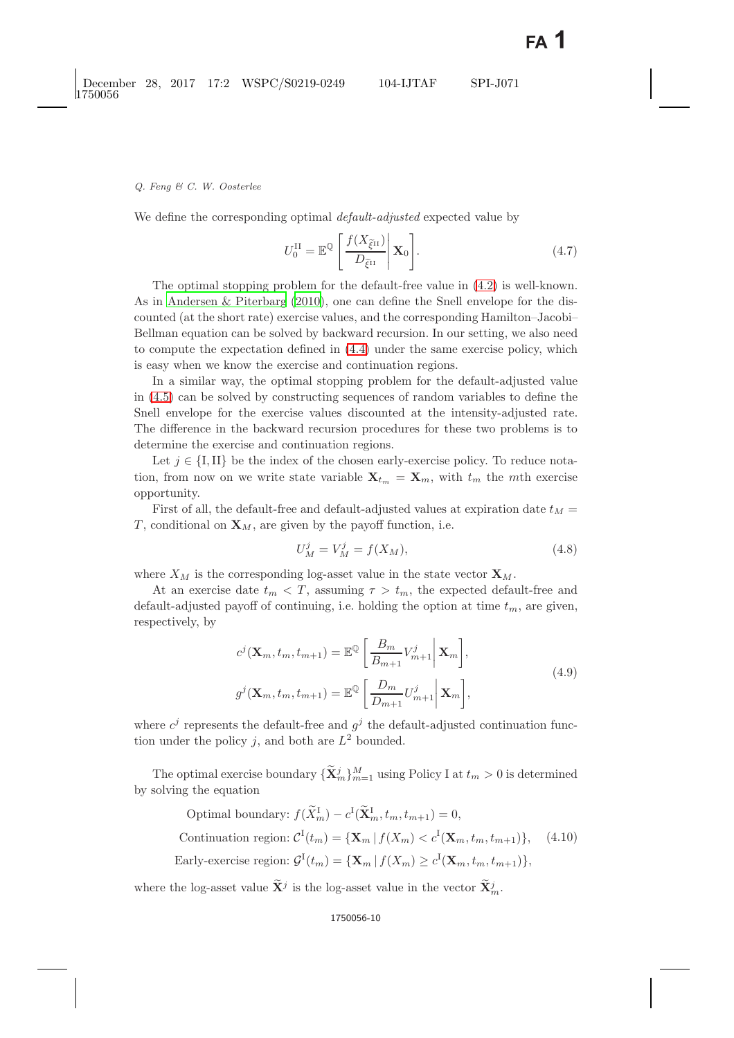We define the corresponding optimal *default-adjusted* expected value by

$$
U_0^{\text{II}} = \mathbb{E}^{\mathbb{Q}} \left[ \left. \frac{f(X_{\tilde{\xi}^{\text{II}}})}{D_{\tilde{\xi}^{\text{II}}}} \right| \mathbf{X}_0 \right]. \tag{4.7}
$$

The optimal stopping problem for the default-free value in [\(4.2\)](#page-8-0) is well-known. As in [Andersen & Piterbarg](#page-29-13) [\(2010\)](#page-29-13), one can define the Snell envelope for the discounted (at the short rate) exercise values, and the corresponding Hamilton–Jacobi– Bellman equation can be solved by backward recursion. In our setting, we also need to compute the expectation defined in [\(4.4\)](#page-8-1) under the same exercise policy, which is easy when we know the exercise and continuation regions.

In a similar way, the optimal stopping problem for the default-adjusted value in [\(4.5\)](#page-8-2) can be solved by constructing sequences of random variables to define the Snell envelope for the exercise values discounted at the intensity-adjusted rate. The difference in the backward recursion procedures for these two problems is to determine the exercise and continuation regions.

Let  $j \in \{I, II\}$  be the index of the chosen early-exercise policy. To reduce notation, from now on we write state variable  $\mathbf{X}_{t_m} = \mathbf{X}_m$ , with  $t_m$  the mth exercise opportunity.

First of all, the default-free and default-adjusted values at expiration date  $t_M =$ T, conditional on  $\mathbf{X}_M$ , are given by the payoff function, i.e.

$$
U_M^j = V_M^j = f(X_M),
$$
\n(4.8)

where  $X_M$  is the corresponding log-asset value in the state vector  $\mathbf{X}_M$ .

At an exercise date  $t_m < T$ , assuming  $\tau > t_m$ , the expected default-free and default-adjusted payoff of continuing, i.e. holding the option at time  $t_m$ , are given, respectively, by

$$
c^{j}(\mathbf{X}_{m}, t_{m}, t_{m+1}) = \mathbb{E}^{\mathbb{Q}}\left[\frac{B_{m}}{B_{m+1}}V_{m+1}^{j}\bigg|\mathbf{X}_{m}\right],
$$
  
\n
$$
g^{j}(\mathbf{X}_{m}, t_{m}, t_{m+1}) = \mathbb{E}^{\mathbb{Q}}\left[\frac{D_{m}}{D_{m+1}}U_{m+1}^{j}\bigg|\mathbf{X}_{m}\right],
$$
\n(4.9)

<span id="page-9-0"></span>where  $c^j$  represents the default-free and  $g^j$  the default-adjusted continuation function under the policy j, and both are  $L^2$  bounded.

The optimal exercise boundary  ${\{\widetilde{\mathbf{X}}_m^j\}_{m=1}^M}$  using Policy I at  $t_m > 0$  is determined by solving the equation

Optimal boundary: 
$$
f(\widetilde{X}_m^I) - c^I(\widetilde{\mathbf{X}}_m^I, t_m, t_{m+1}) = 0
$$
,  
Continuation region:  $C^I(t_m) = {\mathbf{X}_m | f(X_m) < c^I(\mathbf{X}_m, t_m, t_{m+1}) }$ , (4.10)  
Early-exercise region:  $\mathcal{G}^I(t_m) = {\mathbf{X}_m | f(X_m) \ge c^I(\mathbf{X}_m, t_m, t_{m+1}) }$ ,

where the log-asset value  $\widetilde{\mathbf{X}}^j$  is the log-asset value in the vector  $\widetilde{\mathbf{X}}_m^j$ .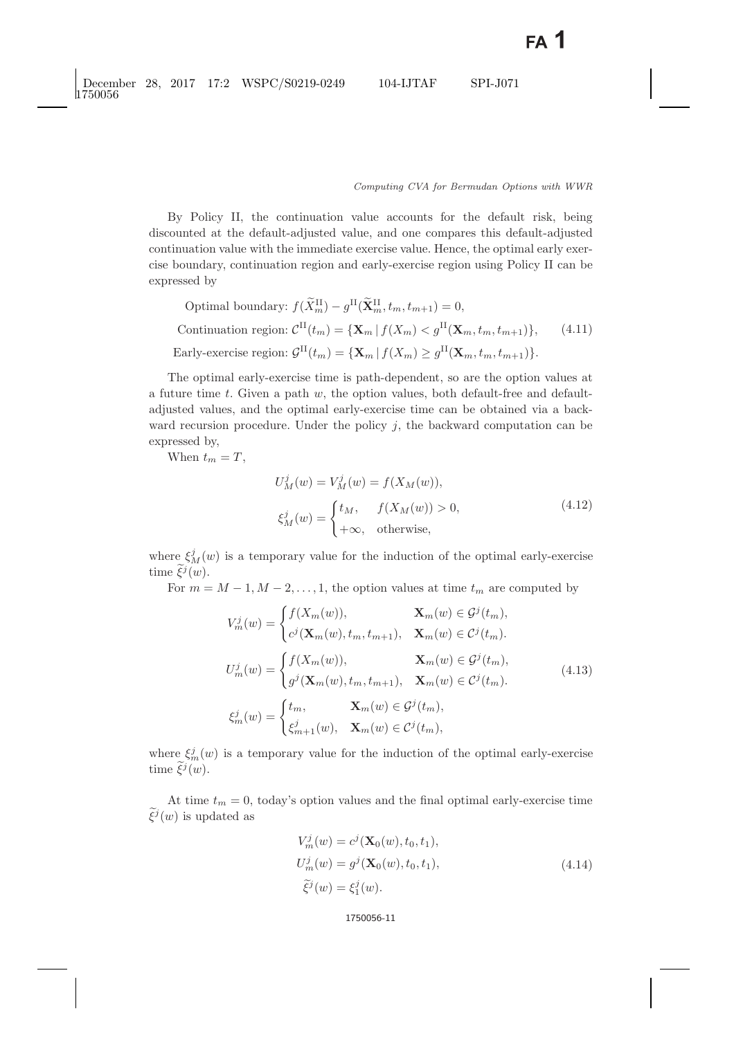By Policy II, the continuation value accounts for the default risk, being discounted at the default-adjusted value, and one compares this default-adjusted continuation value with the immediate exercise value. Hence, the optimal early exercise boundary, continuation region and early-exercise region using Policy II can be expressed by

Optimal boundary: 
$$
f(\widetilde{X}_m^{\mathrm{II}}) - g^{\mathrm{II}}(\widetilde{\mathbf{X}}_m^{\mathrm{II}}, t_m, t_{m+1}) = 0
$$
,  
Continuation region:  $\mathcal{C}^{\mathrm{II}}(t_m) = {\mathbf{X}_m | f(X_m) < g^{\mathrm{II}}(\mathbf{X}_m, t_m, t_{m+1}) }$ , (4.11)  
Early-exercise region:  $\mathcal{G}^{\mathrm{II}}(t_m) = {\mathbf{X}_m | f(X_m) \ge g^{\mathrm{II}}(\mathbf{X}_m, t_m, t_{m+1}) }$ .

The optimal early-exercise time is path-dependent, so are the option values at a future time t. Given a path  $w$ , the option values, both default-free and defaultadjusted values, and the optimal early-exercise time can be obtained via a backward recursion procedure. Under the policy  $j$ , the backward computation can be expressed by,

When  $t_m = T$ ,

$$
U_M^j(w) = V_M^j(w) = f(X_M(w)),
$$
  
\n
$$
\xi_M^j(w) = \begin{cases} t_M, & f(X_M(w)) > 0, \\ +\infty, & \text{otherwise,} \end{cases}
$$
\n(4.12)

where  $\xi_M^j(w)$  is a temporary value for the induction of the optimal early-exercise time  $\widetilde{\xi}^j(w)$ .  $\varsigma$ 

For  $m = M - 1, M - 2, \ldots, 1$ , the option values at time  $t_m$  are computed by

$$
V_m^j(w) = \begin{cases} f(X_m(w)), & \mathbf{X}_m(w) \in \mathcal{G}^j(t_m), \\ c^j(\mathbf{X}_m(w), t_m, t_{m+1}), & \mathbf{X}_m(w) \in \mathcal{C}^j(t_m). \end{cases}
$$
  
\n
$$
U_m^j(w) = \begin{cases} f(X_m(w)), & \mathbf{X}_m(w) \in \mathcal{G}^j(t_m), \\ g^j(\mathbf{X}_m(w), t_m, t_{m+1}), & \mathbf{X}_m(w) \in \mathcal{C}^j(t_m). \end{cases}
$$
  
\n
$$
\xi_m^j(w) = \begin{cases} t_m, & \mathbf{X}_m(w) \in \mathcal{G}^j(t_m), \\ \xi_{m+1}^j(w), & \mathbf{X}_m(w) \in \mathcal{C}^j(t_m), \end{cases}
$$
\n(4.13)

where  $\xi_m^j(w)$  is a temporary value for the induction of the optimal early-exercise time  $\tilde{\xi}^j(w)$ .

At time  $t_m = 0$ , today's option values and the final optimal early-exercise time  $\widetilde{\xi}^j(w)$  is updated as

$$
V_m^j(w) = c^j(\mathbf{X}_0(w), t_0, t_1),
$$
  
\n
$$
U_m^j(w) = g^j(\mathbf{X}_0(w), t_0, t_1),
$$
  
\n
$$
\tilde{\xi}^j(w) = \xi_1^j(w).
$$
\n(4.14)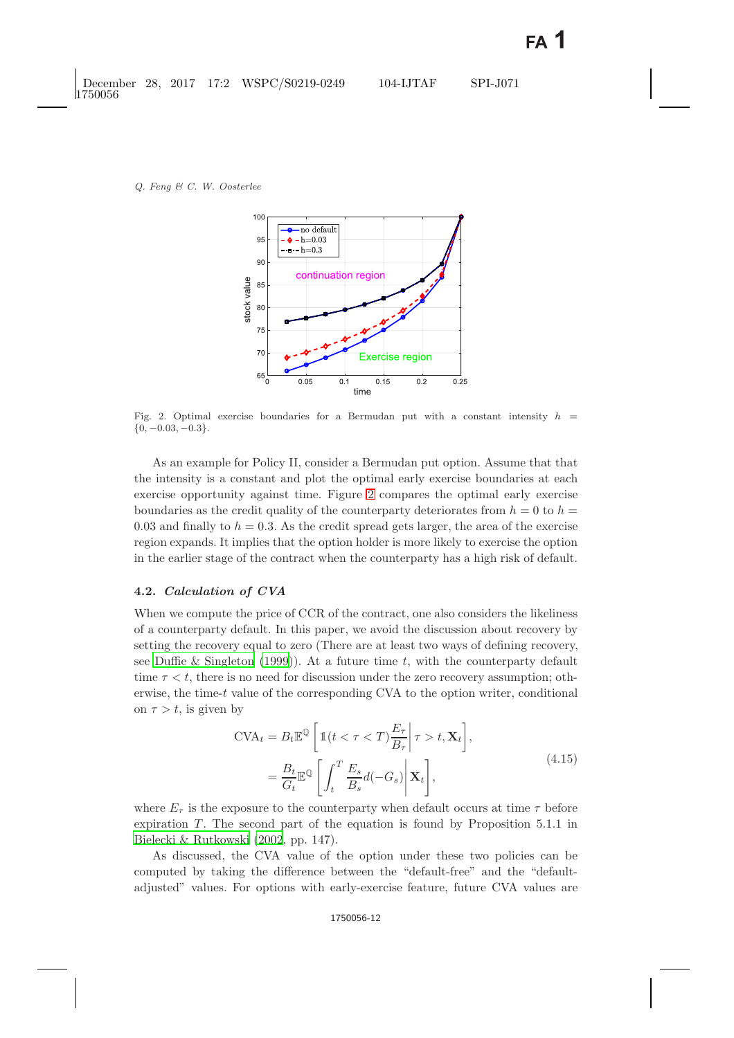

<span id="page-11-0"></span>Fig. 2. Optimal exercise boundaries for a Bermudan put with a constant intensity  $h =$  ${0, -0.03, -0.3}.$ 

As an example for Policy II, consider a Bermudan put option. Assume that that the intensity is a constant and plot the optimal early exercise boundaries at each exercise opportunity against time. Figure [2](#page-11-0) compares the optimal early exercise boundaries as the credit quality of the counterparty deteriorates from  $h = 0$  to  $h =$ 0.03 and finally to  $h = 0.3$ . As the credit spread gets larger, the area of the exercise region expands. It implies that the option holder is more likely to exercise the option in the earlier stage of the contract when the counterparty has a high risk of default.

### **4.2.** *Calculation of CVA*

When we compute the price of CCR of the contract, one also considers the likeliness of a counterparty default. In this paper, we avoid the discussion about recovery by setting the recovery equal to zero (There are at least two ways of defining recovery, see [Duffie & Singleton](#page-29-14) [\(1999](#page-29-14))). At a future time  $t$ , with the counterparty default time  $\tau < t$ , there is no need for discussion under the zero recovery assumption; otherwise, the time-t value of the corresponding CVA to the option writer, conditional on  $\tau > t$ , is given by

$$
CVA_t = B_t \mathbb{E}^{\mathbb{Q}} \left[ 1(t < \tau < T) \frac{E_{\tau}}{B_{\tau}} \middle| \tau > t, \mathbf{X}_t \right],
$$
  
=  $\frac{B_t}{G_t} \mathbb{E}^{\mathbb{Q}} \left[ \int_t^T \frac{E_s}{B_s} d(-G_s) \middle| \mathbf{X}_t \right],$  (4.15)

<span id="page-11-1"></span>where  $E_{\tau}$  is the exposure to the counterparty when default occurs at time  $\tau$  before expiration  $T$ . The second part of the equation is found by Proposition 5.1.1 in [Bielecki & Rutkowski](#page-29-10) [\(2002](#page-29-10), pp. 147).

As discussed, the CVA value of the option under these two policies can be computed by taking the difference between the "default-free" and the "defaultadjusted" values. For options with early-exercise feature, future CVA values are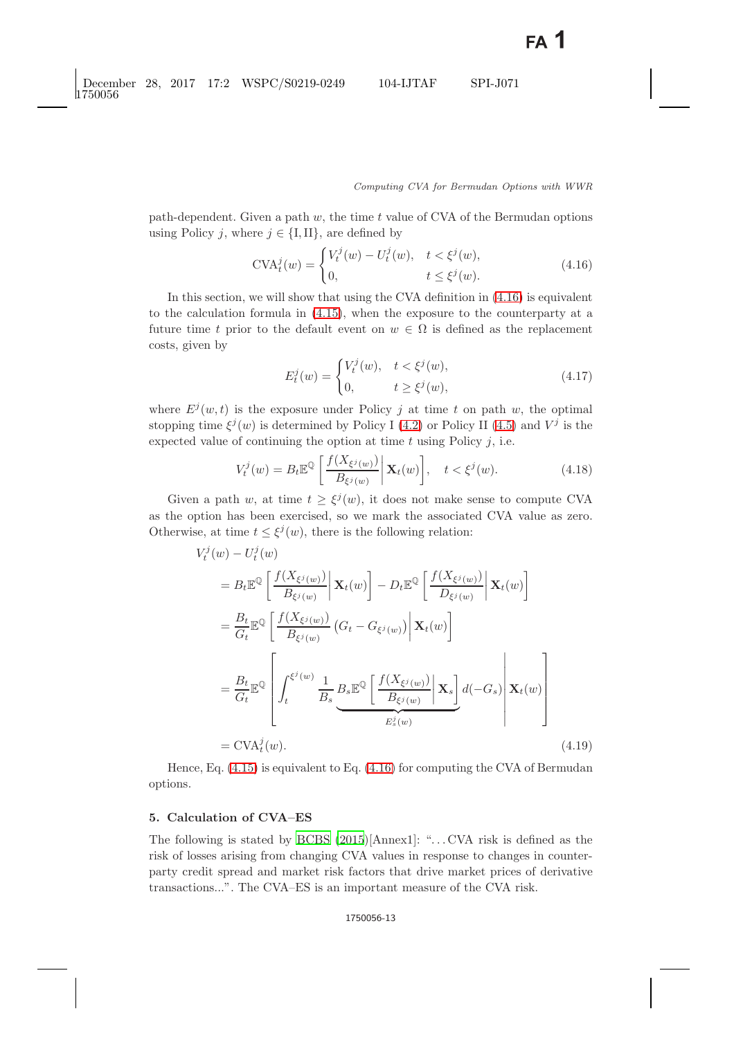path-dependent. Given a path  $w$ , the time  $t$  value of CVA of the Bermudan options using Policy j, where  $j \in \{I, II\}$ , are defined by

$$
CVA_t^j(w) = \begin{cases} V_t^j(w) - U_t^j(w), & t < \xi^j(w), \\ 0, & t \le \xi^j(w). \end{cases}
$$
(4.16)

<span id="page-12-2"></span><span id="page-12-1"></span>In this section, we will show that using the CVA definition in [\(4.16\)](#page-12-1) is equivalent to the calculation formula in [\(4.15\)](#page-11-1), when the exposure to the counterparty at a future time t prior to the default event on  $w \in \Omega$  is defined as the replacement costs, given by

$$
E_t^j(w) = \begin{cases} V_t^j(w), & t < \xi^j(w), \\ 0, & t \ge \xi^j(w), \end{cases}
$$
(4.17)

where  $E^j(w,t)$  is the exposure under Policy j at time t on path w, the optimal stopping time  $\xi^{j}(w)$  is determined by Policy I [\(4.2\)](#page-8-3) or Policy II [\(4.5\)](#page-8-4) and  $V^{j}$  is the expected value of continuing the option at time  $t$  using Policy  $j$ , i.e.

$$
V_t^j(w) = B_t \mathbb{E}^{\mathbb{Q}} \left[ \left. \frac{f(X_{\xi^j(w)})}{B_{\xi^j(w)}} \right| \mathbf{X}_t(w) \right], \quad t < \xi^j(w). \tag{4.18}
$$

Given a path w, at time  $t \geq \xi^{j}(w)$ , it does not make sense to compute CVA as the option has been exercised, so we mark the associated CVA value as zero. Otherwise, at time  $t \leq \xi^{j}(w)$ , there is the following relation:

$$
V_t^j(w) - U_t^j(w)
$$
  
\n
$$
= B_t \mathbb{E}^{\mathbb{Q}} \left[ \frac{f(X_{\xi^j(w)})}{B_{\xi^j(w)}} \middle| \mathbf{X}_t(w) \right] - D_t \mathbb{E}^{\mathbb{Q}} \left[ \frac{f(X_{\xi^j(w)})}{D_{\xi^j(w)}} \middle| \mathbf{X}_t(w) \right]
$$
  
\n
$$
= \frac{B_t}{G_t} \mathbb{E}^{\mathbb{Q}} \left[ \frac{f(X_{\xi^j(w)})}{B_{\xi^j(w)}} \left( G_t - G_{\xi^j(w)} \middle| \mathbf{X}_t(w) \right] \right]
$$
  
\n
$$
= \frac{B_t}{G_t} \mathbb{E}^{\mathbb{Q}} \left[ \int_t^{\xi^j(w)} \frac{1}{B_s} B_s \mathbb{E}^{\mathbb{Q}} \left[ \frac{f(X_{\xi^j(w)})}{B_{\xi^j(w)}} \middle| \mathbf{X}_s \right] d(-G_s) \middle| \mathbf{X}_t(w) \right]
$$
  
\n
$$
= \text{CVA}_t^j(w). \tag{4.19}
$$

Hence, Eq.  $(4.15)$  is equivalent to Eq.  $(4.16)$  for computing the CVA of Bermudan options.

## <span id="page-12-0"></span>**5. Calculation of CVA–ES**

The following is stated by [BCBS](#page-29-15) [\(2015\)](#page-29-15)[Annex1]: ". . . CVA risk is defined as the risk of losses arising from changing CVA values in response to changes in counterparty credit spread and market risk factors that drive market prices of derivative transactions...". The CVA–ES is an important measure of the CVA risk.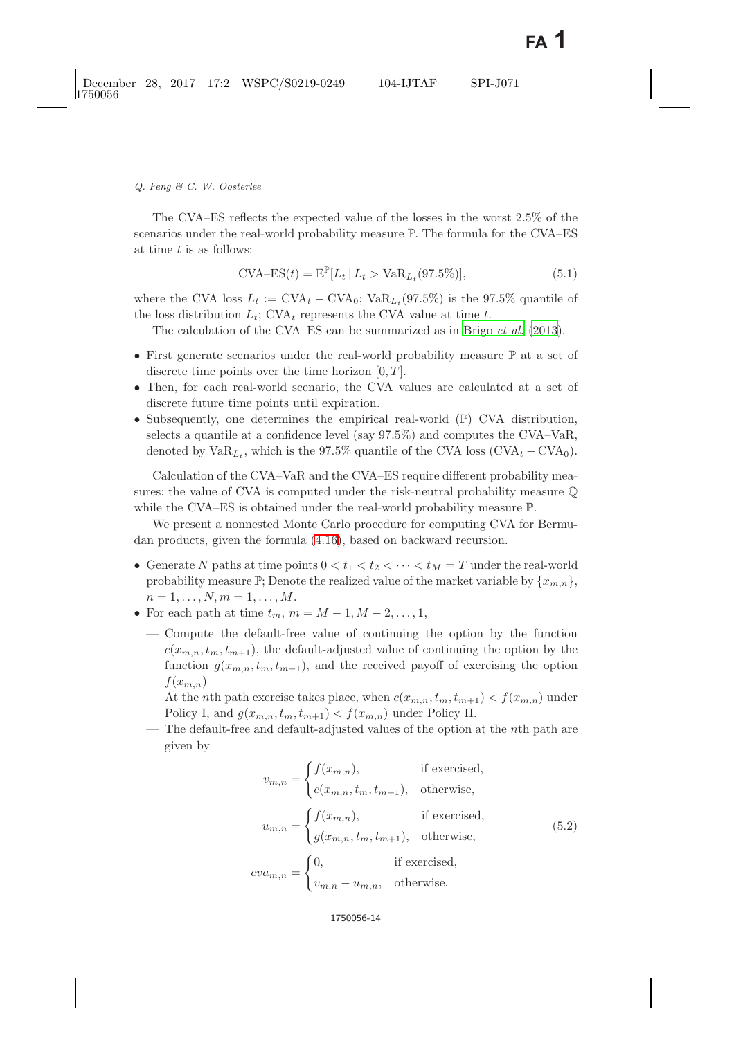The CVA–ES reflects the expected value of the losses in the worst 2.5% of the scenarios under the real-world probability measure P. The formula for the CVA–ES at time t is as follows:

$$
\text{CVA} - \text{ES}(t) = \mathbb{E}^{\mathbb{P}}[L_t | L_t > \text{VaR}_{L_t}(97.5\%)],\tag{5.1}
$$

where the CVA loss  $L_t := \text{CVA}_t - \text{CVA}_0$ ;  $\text{VaR}_{L_t}(97.5\%)$  is the 97.5% quantile of the loss distribution  $L_t$ ; CVA<sub>t</sub> represents the CVA value at time t.

The calculation of the CVA–ES can be summarized as in Brigo *[et al.](#page-29-16)* [\(2013](#page-29-16)).

- First generate scenarios under the real-world probability measure  $\mathbb P$  at a set of discrete time points over the time horizon  $[0, T]$ .
- Then, for each real-world scenario, the CVA values are calculated at a set of discrete future time points until expiration.
- Subsequently, one determines the empirical real-world (P) CVA distribution, selects a quantile at a confidence level (say 97.5%) and computes the CVA–VaR, denoted by  $VaR_{L_t}$ , which is the 97.5% quantile of the CVA loss  $(CVA_t - CVA_0)$ .

Calculation of the CVA–VaR and the CVA–ES require different probability measures: the value of CVA is computed under the risk-neutral probability measure Q while the CVA–ES is obtained under the real-world probability measure P.

We present a nonnested Monte Carlo procedure for computing CVA for Bermudan products, given the formula [\(4.16\)](#page-12-2), based on backward recursion.

- Generate N paths at time points  $0 < t_1 < t_2 < \cdots < t_M = T$  under the real-world probability measure  $\mathbb{P}$ ; Denote the realized value of the market variable by  $\{x_{m,n}\},$  $n = 1, \ldots, N, m = 1, \ldots, M$ .
- For each path at time  $t_m$ ,  $m = M 1, M 2, \ldots, 1$ ,
	- Compute the default-free value of continuing the option by the function  $c(x_{m,n}, t_m, t_{m+1})$ , the default-adjusted value of continuing the option by the function  $g(x_{m,n}, t_m, t_{m+1})$ , and the received payoff of exercising the option  $f(x_{m,n})$
	- At the *n*th path exercise takes place, when  $c(x_{m,n}, t_m, t_{m+1}) < f(x_{m,n})$  under Policy I, and  $g(x_{m,n}, t_m, t_{m+1}) < f(x_{m,n})$  under Policy II.
	- The default-free and default-adjusted values of the option at the nth path are given by

$$
v_{m,n} = \begin{cases} f(x_{m,n}), & \text{if exercised,} \\ c(x_{m,n}, t_m, t_{m+1}), & \text{otherwise,} \end{cases}
$$
  

$$
u_{m,n} = \begin{cases} f(x_{m,n}), & \text{if exercised,} \\ g(x_{m,n}, t_m, t_{m+1}), & \text{otherwise,} \end{cases}
$$
  

$$
cv a_{m,n} = \begin{cases} 0, & \text{if exercised,} \\ v_{m,n} - u_{m,n}, & \text{otherwise.} \end{cases}
$$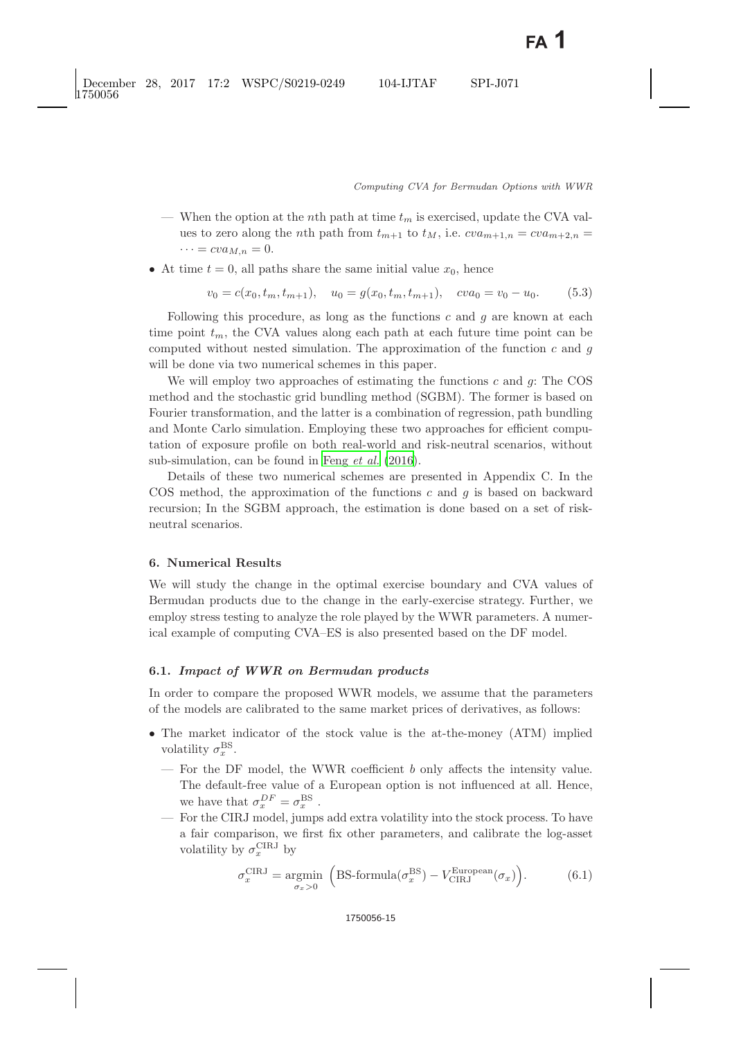- When the option at the nth path at time  $t_m$  is exercised, update the CVA values to zero along the *n*th path from  $t_{m+1}$  to  $t_M$ , i.e.  $cva_{m+1,n} = cva_{m+2,n}$  $\cdots = cva_{M,n} = 0.$
- At time  $t = 0$ , all paths share the same initial value  $x_0$ , hence

$$
v_0 = c(x_0, t_m, t_{m+1}), \quad u_0 = g(x_0, t_m, t_{m+1}), \quad cva_0 = v_0 - u_0. \tag{5.3}
$$

Following this procedure, as long as the functions  $c$  and  $g$  are known at each time point  $t_m$ , the CVA values along each path at each future time point can be computed without nested simulation. The approximation of the function  $c$  and  $g$ will be done via two numerical schemes in this paper.

We will employ two approaches of estimating the functions  $c$  and  $q$ : The COS method and the stochastic grid bundling method (SGBM). The former is based on Fourier transformation, and the latter is a combination of regression, path bundling and Monte Carlo simulation. Employing these two approaches for efficient computation of exposure profile on both real-world and risk-neutral scenarios, without sub-simulation, can be found in Feng *[et al.](#page-29-17)* [\(2016\)](#page-29-17).

Details of these two numerical schemes are presented in Appendix C. In the COS method, the approximation of the functions  $c$  and  $g$  is based on backward recursion; In the SGBM approach, the estimation is done based on a set of riskneutral scenarios.

# <span id="page-14-0"></span>**6. Numerical Results**

We will study the change in the optimal exercise boundary and CVA values of Bermudan products due to the change in the early-exercise strategy. Further, we employ stress testing to analyze the role played by the WWR parameters. A numerical example of computing CVA–ES is also presented based on the DF model.

# **6.1.** *Impact of WWR on Bermudan products*

In order to compare the proposed WWR models, we assume that the parameters of the models are calibrated to the same market prices of derivatives, as follows:

- The market indicator of the stock value is the at-the-money (ATM) implied volatility  $\sigma_x^{\text{BS}}$ .
	- For the DF model, the WWR coefficient  $b$  only affects the intensity value. The default-free value of a European option is not influenced at all. Hence, we have that  $\sigma_x^{DF} = \sigma_x^{\text{BS}}$ .
	- For the CIRJ model, jumps add extra volatility into the stock process. To have a fair comparison, we first fix other parameters, and calibrate the log-asset volatility by  $\sigma_x^{\text{CIRJ}}$  by

<span id="page-14-1"></span>
$$
\sigma_x^{\text{CIRJ}} = \underset{\sigma_x > 0}{\text{argmin}} \left( \text{BS-formula}(\sigma_x^{\text{BS}}) - V_{\text{CIRJ}}^{\text{European}}(\sigma_x) \right). \tag{6.1}
$$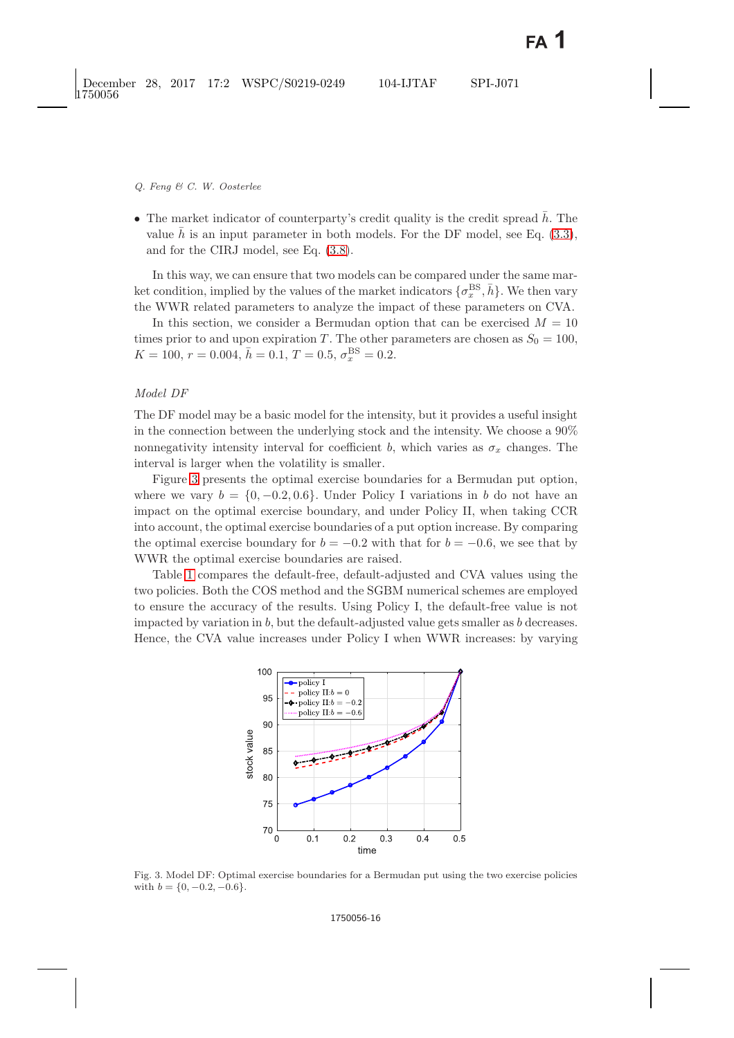• The market indicator of counterparty's credit quality is the credit spread  $\bar{h}$ . The value  $\bar{h}$  is an input parameter in both models. For the DF model, see Eq. [\(3.3\)](#page-4-1), and for the CIRJ model, see Eq. [\(3.8\)](#page-6-1).

In this way, we can ensure that two models can be compared under the same market condition, implied by the values of the market indicators  $\{\sigma_x^{\text{BS}}, \bar{h}\}$ . We then vary the WWR related parameters to analyze the impact of these parameters on CVA.

In this section, we consider a Bermudan option that can be exercised  $M = 10$ times prior to and upon expiration T. The other parameters are chosen as  $S_0 = 100$ ,  $K = 100, r = 0.004, \bar{h} = 0.1, T = 0.5, \sigma_x^{\text{BS}} = 0.2.$ 

# *Model DF*

The DF model may be a basic model for the intensity, but it provides a useful insight in the connection between the underlying stock and the intensity. We choose a 90% nonnegativity intensity interval for coefficient b, which varies as  $\sigma_x$  changes. The interval is larger when the volatility is smaller.

Figure [3](#page-15-0) presents the optimal exercise boundaries for a Bermudan put option, where we vary  $b = \{0, -0.2, 0.6\}$ . Under Policy I variations in b do not have an impact on the optimal exercise boundary, and under Policy II, when taking CCR into account, the optimal exercise boundaries of a put option increase. By comparing the optimal exercise boundary for  $b = -0.2$  with that for  $b = -0.6$ , we see that by WWR the optimal exercise boundaries are raised.

Table [1](#page-16-0) compares the default-free, default-adjusted and CVA values using the two policies. Both the COS method and the SGBM numerical schemes are employed to ensure the accuracy of the results. Using Policy I, the default-free value is not impacted by variation in  $b$ , but the default-adjusted value gets smaller as  $b$  decreases. Hence, the CVA value increases under Policy I when WWR increases: by varying



<span id="page-15-0"></span>Fig. 3. Model DF: Optimal exercise boundaries for a Bermudan put using the two exercise policies with  $b = \{0, -0.2, -0.6\}.$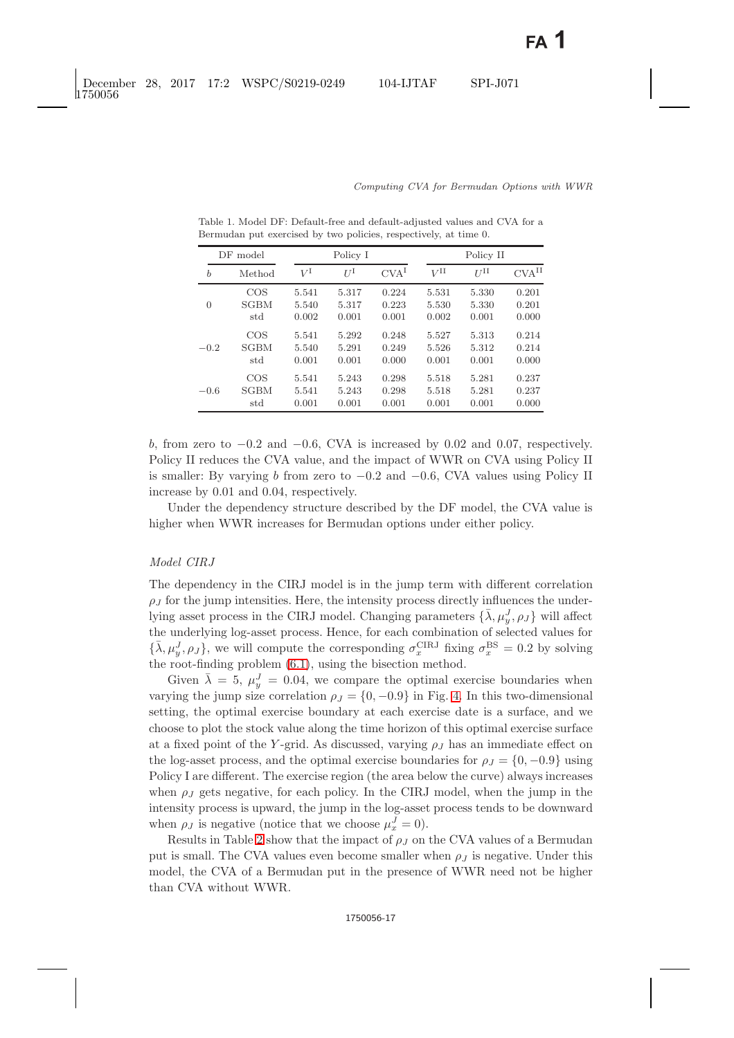| DF model         |             | Policy I    |             |                  | Policy II       |                 |                     |
|------------------|-------------|-------------|-------------|------------------|-----------------|-----------------|---------------------|
| $\boldsymbol{b}$ | Method      | $V^{\rm I}$ | $U^{\rm I}$ | CVA <sup>I</sup> | $V^{\text{II}}$ | $U^{\text{II}}$ | $CVA$ <sup>II</sup> |
| $\Omega$         | COS         | 5.541       | 5.317       | 0.224            | 5.531           | 5.330           | 0.201               |
|                  | <b>SGBM</b> | 5.540       | 5.317       | 0.223            | 5.530           | 5.330           | 0.201               |
|                  | std         | 0.002       | 0.001       | 0.001            | 0.002           | 0.001           | 0.000               |
| $-0.2$           | $\cos$      | 5.541       | 5.292       | 0.248            | 5.527           | 5.313           | 0.214               |
|                  | <b>SGBM</b> | 5.540       | 5.291       | 0.249            | 5.526           | 5.312           | 0.214               |
|                  | std         | 0.001       | 0.001       | 0.000            | 0.001           | 0.001           | 0.000               |
| $-0.6$           | COS         | 5.541       | 5.243       | 0.298            | 5.518           | 5.281           | 0.237               |
|                  | <b>SGBM</b> | 5.541       | 5.243       | 0.298            | 5.518           | 5.281           | 0.237               |
|                  | std         | 0.001       | 0.001       | 0.001            | 0.001           | 0.001           | 0.000               |

<span id="page-16-0"></span>Table 1. Model DF: Default-free and default-adjusted values and CVA for a Bermudan put exercised by two policies, respectively, at time 0.

b, from zero to  $-0.2$  and  $-0.6$ , CVA is increased by 0.02 and 0.07, respectively. Policy II reduces the CVA value, and the impact of WWR on CVA using Policy II is smaller: By varying b from zero to  $-0.2$  and  $-0.6$ , CVA values using Policy II increase by 0.01 and 0.04, respectively.

Under the dependency structure described by the DF model, the CVA value is higher when WWR increases for Bermudan options under either policy.

# *Model CIRJ*

The dependency in the CIRJ model is in the jump term with different correlation  $\rho_J$  for the jump intensities. Here, the intensity process directly influences the underlying asset process in the CIRJ model. Changing parameters  $\{\bar{\lambda}, \mu_u^J, \rho_J\}$  will affect the underlying log-asset process. Hence, for each combination of selected values for  $\{\bar{\lambda}, \mu_y^J, \rho_J\}$ , we will compute the corresponding  $\sigma_x^{\text{CIRJ}}$  fixing  $\sigma_x^{\text{BS}} = 0.2$  by solving the root-finding problem [\(6.1\)](#page-14-1), using the bisection method.

Given  $\bar{\lambda} = 5$ ,  $\mu_v^J = 0.04$ , we compare the optimal exercise boundaries when varying the jump size correlation  $\rho_J = \{0, -0.9\}$  in Fig. [4.](#page-17-0) In this two-dimensional setting, the optimal exercise boundary at each exercise date is a surface, and we choose to plot the stock value along the time horizon of this optimal exercise surface at a fixed point of the Y-grid. As discussed, varying  $\rho_J$  has an immediate effect on the log-asset process, and the optimal exercise boundaries for  $\rho_J = \{0, -0.9\}$  using Policy I are different. The exercise region (the area below the curve) always increases when  $\rho_J$  gets negative, for each policy. In the CIRJ model, when the jump in the intensity process is upward, the jump in the log-asset process tends to be downward when  $\rho_J$  is negative (notice that we choose  $\mu_x^J = 0$ ).

Results in Table [2](#page-17-1) show that the impact of  $\rho_J$  on the CVA values of a Bermudan put is small. The CVA values even become smaller when  $\rho_J$  is negative. Under this model, the CVA of a Bermudan put in the presence of WWR need not be higher than CVA without WWR.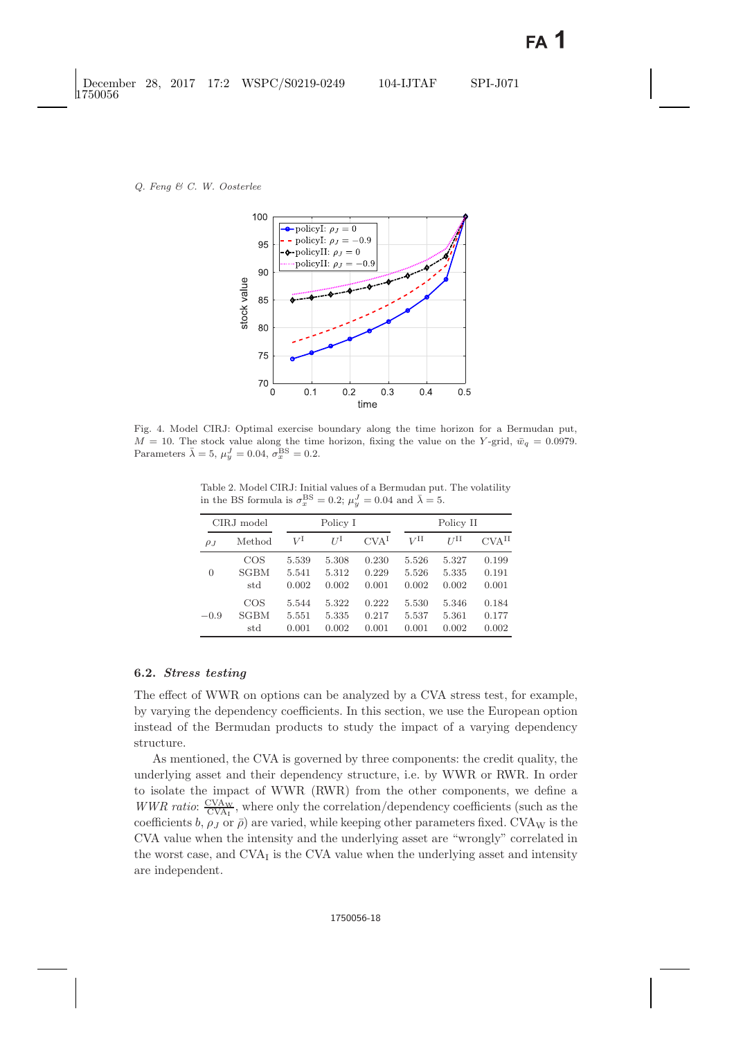

<span id="page-17-0"></span>Fig. 4. Model CIRJ: Optimal exercise boundary along the time horizon for a Bermudan put,  $M = 10$ . The stock value along the time horizon, fixing the value on the Y-grid,  $\bar{w}_q = 0.0979$ . Parameters  $\bar{\lambda} = 5$ ,  $\mu_y^J = 0.04$ ,  $\sigma_x^{\text{BS}} = 0.2$ .

<span id="page-17-1"></span>Table 2. Model CIRJ: Initial values of a Bermudan put. The volatility in the BS formula is  $\sigma_x^{\text{BS}} = 0.2$ ;  $\mu_y^J = 0.04$  and  $\bar{\lambda} = 5$ .

| CIRJ model |             | Policy I |       |                  | Policy II |       |                     |
|------------|-------------|----------|-------|------------------|-----------|-------|---------------------|
| $\rho_{J}$ | Method      | VΙ       | ŢΙ    | CVA <sup>I</sup> | VΗ        | II    | $CVA$ <sup>II</sup> |
| 0          | COS         | 5.539    | 5.308 | 0.230            | 5.526     | 5.327 | 0.199               |
|            | <b>SGBM</b> | 5.541    | 5.312 | 0.229            | 5.526     | 5.335 | 0.191               |
|            | std         | 0.002    | 0.002 | 0.001            | 0.002     | 0.002 | 0.001               |
| $-0.9$     | <b>COS</b>  | 5.544    | 5.322 | 0.222            | 5.530     | 5.346 | 0.184               |
|            | <b>SGBM</b> | 5.551    | 5.335 | 0.217            | 5.537     | 5.361 | 0.177               |
|            | std         | 0.001    | 0.002 | 0.001            | 0.001     | 0.002 | 0.002               |

### **6.2.** *Stress testing*

The effect of WWR on options can be analyzed by a CVA stress test, for example, by varying the dependency coefficients. In this section, we use the European option instead of the Bermudan products to study the impact of a varying dependency structure.

As mentioned, the CVA is governed by three components: the credit quality, the underlying asset and their dependency structure, i.e. by WWR or RWR. In order to isolate the impact of WWR (RWR) from the other components, we define a *WWR ratio:*  $\frac{\text{CVAw}}{\text{CVAr}}$ , where only the correlation/dependency coefficients (such as the coefficients  $h$  as  $\infty$  or  $\bar{p}$ ) are varied, while keeping other parameters fixed  $\text{CVAw}$  is the coefficients b,  $\rho_J$  or  $\bar{\rho}$ ) are varied, while keeping other parameters fixed. CVA<sub>W</sub> is the CVA value when the intensity and the underlying asset are "wrongly" correlated in the worst case, and  $CVA<sub>I</sub>$  is the CVA value when the underlying asset and intensity are independent.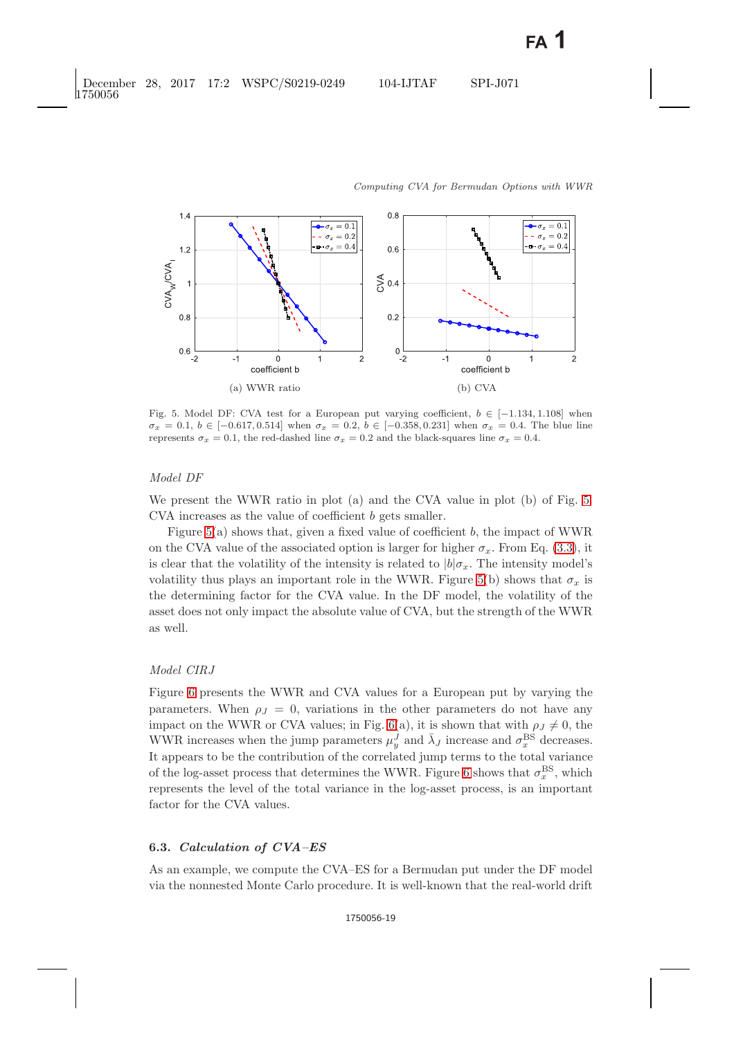

<span id="page-18-0"></span>Fig. 5. Model DF: CVA test for a European put varying coefficient,  $b \in [-1.134, 1.108]$  when  $\sigma_x = 0.1, b \in [-0.617, 0.514]$  when  $\sigma_x = 0.2, b \in [-0.358, 0.231]$  when  $\sigma_x = 0.4$ . The blue line represents  $\sigma_x = 0.1$ , the red-dashed line  $\sigma_x = 0.2$  and the black-squares line  $\sigma_x = 0.4$ .

### *Model DF*

We present the WWR ratio in plot (a) and the CVA value in plot (b) of Fig. [5.](#page-18-0) CVA increases as the value of coefficient b gets smaller.

Figure  $5(a)$  shows that, given a fixed value of coefficient b, the impact of WWR on the CVA value of the associated option is larger for higher  $\sigma_x$ . From Eq. [\(3.3\)](#page-4-2), it is clear that the volatility of the intensity is related to  $|b|\sigma_x$ . The intensity model's volatility thus plays an important role in the WWR. Figure [5\(](#page-18-0)b) shows that  $\sigma_x$  is the determining factor for the CVA value. In the DF model, the volatility of the asset does not only impact the absolute value of CVA, but the strength of the WWR as well.

# *Model CIRJ*

Figure [6](#page-19-0) presents the WWR and CVA values for a European put by varying the parameters. When  $\rho_J = 0$ , variations in the other parameters do not have any impact on the WWR or CVA values; in Fig. [6\(](#page-19-0)a), it is shown that with  $\rho_J \neq 0$ , the WWR increases when the jump parameters  $\mu_y^J$  and  $\bar{\lambda}_J$  increase and  $\sigma_x^{\text{BS}}$  decreases. It appears to be the contribution of the correlated jump terms to the total variance of the log-asset process that determines the WWR. Figure [6](#page-19-0) shows that  $\sigma_x^{\text{BS}}$ , which represents the level of the total variance in the log-asset process, is an important factor for the CVA values.

## **6.3.** *Calculation of CVA–ES*

As an example, we compute the CVA–ES for a Bermudan put under the DF model via the nonnested Monte Carlo procedure. It is well-known that the real-world drift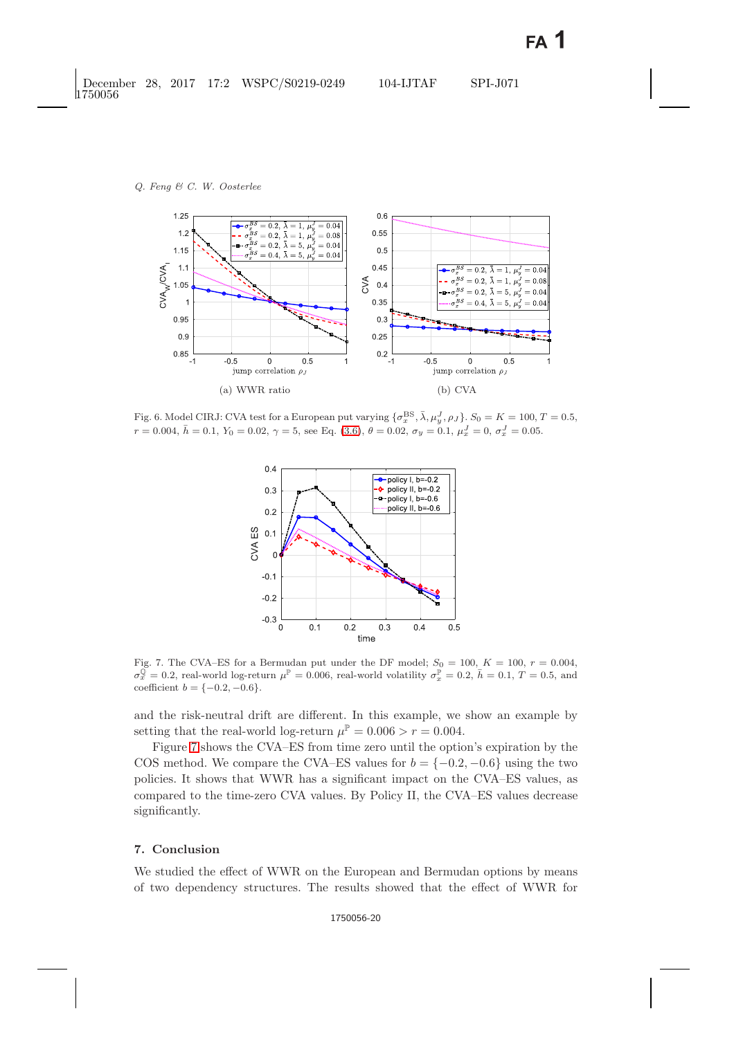

<span id="page-19-0"></span>Fig. 6. Model CIRJ: CVA test for a European put varying  $\{\sigma_x^{\text{BS}}, \bar{\lambda}, \mu_y^J, \rho_J\}$ .  $S_0 = K = 100, T = 0.5$ ,  $r = 0.004, \bar{h} = 0.1, Y_0 = 0.02, \gamma = 5$ , see Eq. [\(3.6\)](#page-5-1),  $\theta = 0.02, \sigma_y = 0.1, \mu_x^J = 0, \sigma_x^J = 0.05$ .



<span id="page-19-1"></span>Fig. 7. The CVA–ES for a Bermudan put under the DF model;  $S_0 = 100$ ,  $K = 100$ ,  $r = 0.004$ ,  $\sigma_x^{\mathbb{Q}} = 0.2$ , real-world log-return  $\mu^{\mathbb{P}} = 0.006$ , real-world volatility  $\sigma_x^{\mathbb{P}} = 0.2$ ,  $h = 0.1$ ,  $T = 0.5$ , and coefficient  $b = \{-0.2, -0.6\}.$ 

and the risk-neutral drift are different. In this example, we show an example by setting that the real-world log-return  $\mu^{\mathbb{P}} = 0.006 > r = 0.004$ .

Figure [7](#page-19-1) shows the CVA–ES from time zero until the option's expiration by the COS method. We compare the CVA–ES values for  $b = \{-0.2, -0.6\}$  using the two policies. It shows that WWR has a significant impact on the CVA–ES values, as compared to the time-zero CVA values. By Policy II, the CVA–ES values decrease significantly.

# **7. Conclusion**

We studied the effect of WWR on the European and Bermudan options by means of two dependency structures. The results showed that the effect of WWR for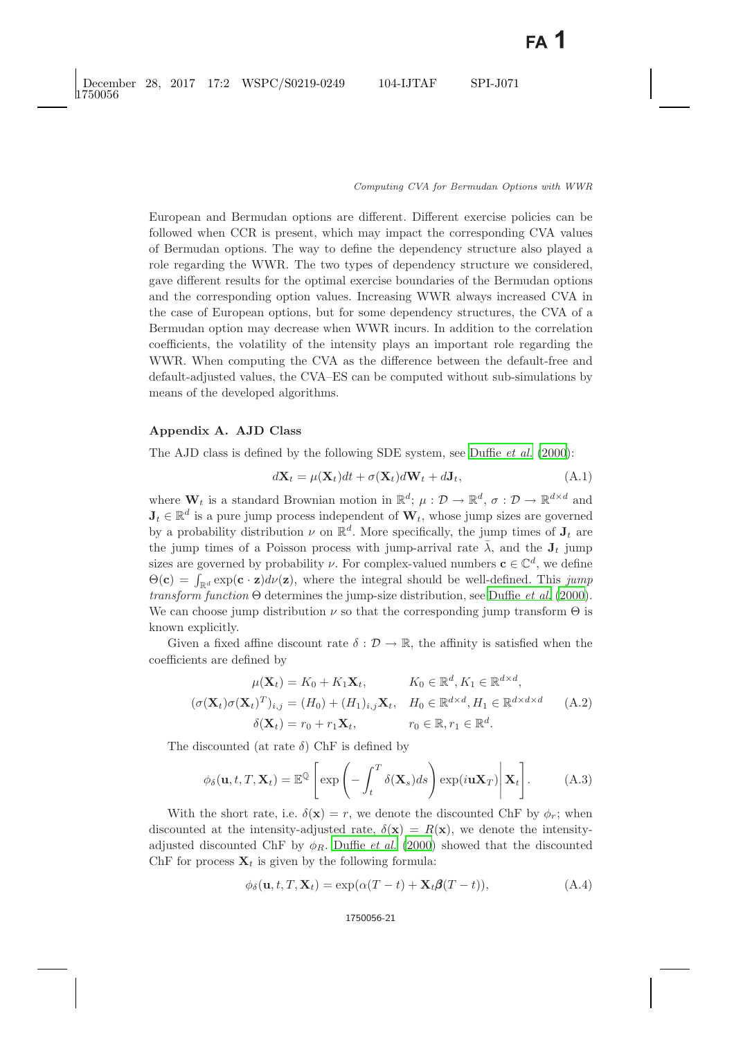European and Bermudan options are different. Different exercise policies can be followed when CCR is present, which may impact the corresponding CVA values of Bermudan options. The way to define the dependency structure also played a role regarding the WWR. The two types of dependency structure we considered, gave different results for the optimal exercise boundaries of the Bermudan options and the corresponding option values. Increasing WWR always increased CVA in the case of European options, but for some dependency structures, the CVA of a Bermudan option may decrease when WWR incurs. In addition to the correlation coefficients, the volatility of the intensity plays an important role regarding the WWR. When computing the CVA as the difference between the default-free and default-adjusted values, the CVA–ES can be computed without sub-simulations by means of the developed algorithms.

#### **Appendix A. AJD Class**

The AJD class is defined by the following SDE system, see [Duffie](#page-29-7) *et al.* [\(2000\)](#page-29-7):

$$
d\mathbf{X}_t = \mu(\mathbf{X}_t)dt + \sigma(\mathbf{X}_t)d\mathbf{W}_t + d\mathbf{J}_t,
$$
\n(A.1)

where  $\mathbf{W}_t$  is a standard Brownian motion in  $\mathbb{R}^d$ ;  $\mu: \mathcal{D} \to \mathbb{R}^d$ ,  $\sigma: \mathcal{D} \to \mathbb{R}^{d \times d}$  and  $J_t \in \mathbb{R}^d$  is a pure jump process independent of  $W_t$ , whose jump sizes are governed by a probability distribution  $\nu$  on  $\mathbb{R}^d$ . More specifically, the jump times of  $J_t$  are the jump times of a Poisson process with jump-arrival rate  $\bar{\lambda}$ , and the  $J_t$  jump sizes are governed by probability  $\nu$ . For complex-valued numbers  $\mathbf{c} \in \mathbb{C}^d$ , we define  $\Theta(\mathbf{c}) = \int_{\mathbb{R}^d} \exp(\mathbf{c} \cdot \mathbf{z}) d\nu(\mathbf{z})$ , where the integral should be well-defined. This *jump transform function* Θ determines the jump-size distribution, see [Duffie](#page-29-7) *et al.* [\(2000\)](#page-29-7). We can choose jump distribution  $\nu$  so that the corresponding jump transform  $\Theta$  is known explicitly.

Given a fixed affine discount rate  $\delta : \mathcal{D} \to \mathbb{R}$ , the affinity is satisfied when the coefficients are defined by

$$
\mu(\mathbf{X}_t) = K_0 + K_1 \mathbf{X}_t, \qquad K_0 \in \mathbb{R}^d, K_1 \in \mathbb{R}^{d \times d},
$$

$$
(\sigma(\mathbf{X}_t)\sigma(\mathbf{X}_t)^T)_{i,j} = (H_0) + (H_1)_{i,j}\mathbf{X}_t, \quad H_0 \in \mathbb{R}^{d \times d}, H_1 \in \mathbb{R}^{d \times d \times d} \qquad (A.2)
$$

$$
\delta(\mathbf{X}_t) = r_0 + r_1 \mathbf{X}_t, \qquad r_0 \in \mathbb{R}, r_1 \in \mathbb{R}^d.
$$

The discounted (at rate  $\delta$ ) ChF is defined by

$$
\phi_{\delta}(\mathbf{u}, t, T, \mathbf{X}_t) = \mathbb{E}^{\mathbb{Q}} \left[ \exp \left( - \int_t^T \delta(\mathbf{X}_s) ds \right) \exp(i \mathbf{u} \mathbf{X}_T) \middle| \mathbf{X}_t \right]. \tag{A.3}
$$

With the short rate, i.e.  $\delta(\mathbf{x}) = r$ , we denote the discounted ChF by  $\phi_r$ ; when discounted at the intensity-adjusted rate,  $\delta(\mathbf{x}) = R(\mathbf{x})$ , we denote the intensityadjusted discounted ChF by  $\phi_R$ . [Duffie](#page-29-7) *et al.* [\(2000\)](#page-29-7) showed that the discounted ChF for process  $\mathbf{X}_t$  is given by the following formula:

$$
\phi_{\delta}(\mathbf{u}, t, T, \mathbf{X}_t) = \exp(\alpha(T - t) + \mathbf{X}_t \boldsymbol{\beta}(T - t)),
$$
\n(A.4)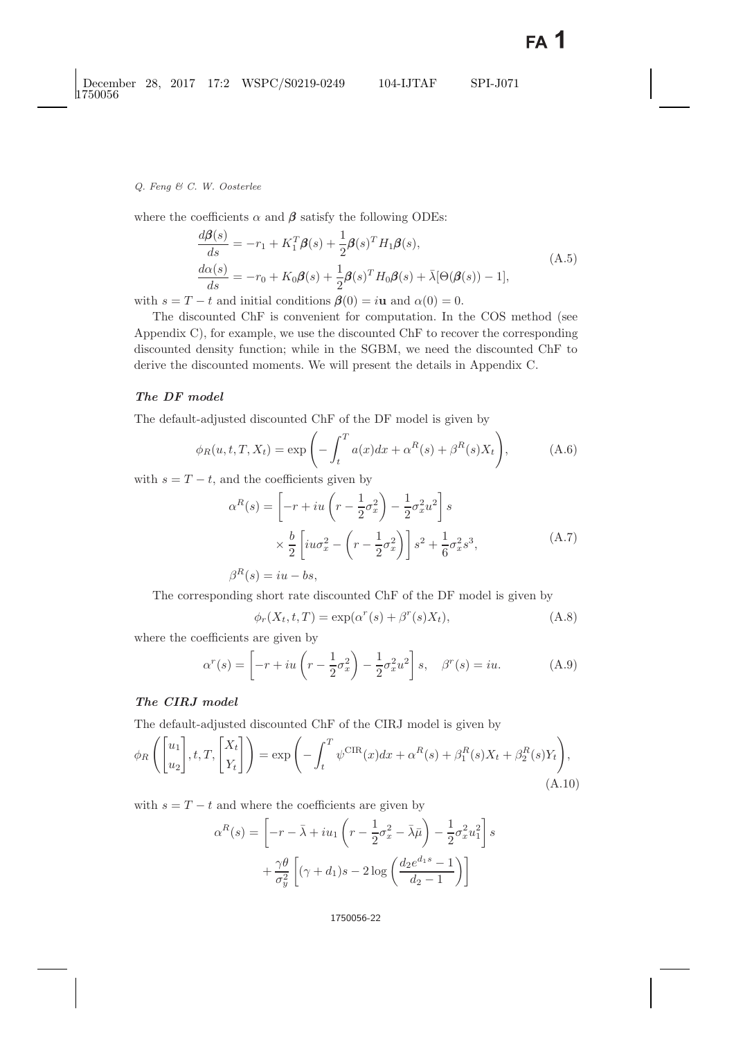where the coefficients  $\alpha$  and  $\beta$  satisfy the following ODEs:

$$
\frac{d\boldsymbol{\beta}(s)}{ds} = -r_1 + K_1^T \boldsymbol{\beta}(s) + \frac{1}{2} \boldsymbol{\beta}(s)^T H_1 \boldsymbol{\beta}(s),
$$
\n
$$
\frac{d\alpha(s)}{ds} = -r_0 + K_0 \boldsymbol{\beta}(s) + \frac{1}{2} \boldsymbol{\beta}(s)^T H_0 \boldsymbol{\beta}(s) + \bar{\lambda}[\Theta(\boldsymbol{\beta}(s)) - 1],
$$
\n(A.5)

with  $s = T - t$  and initial conditions  $\beta(0) = i\mathbf{u}$  and  $\alpha(0) = 0$ .

The discounted ChF is convenient for computation. In the COS method (see Appendix C), for example, we use the discounted ChF to recover the corresponding discounted density function; while in the SGBM, we need the discounted ChF to derive the discounted moments. We will present the details in Appendix C.

## *The DF model*

The default-adjusted discounted ChF of the DF model is given by

$$
\phi_R(u, t, T, X_t) = \exp\left(-\int_t^T a(x)dx + \alpha^R(s) + \beta^R(s)X_t\right),\tag{A.6}
$$

with  $s = T - t$ , and the coefficients given by

$$
\alpha^{R}(s) = \left[ -r + iu\left(r - \frac{1}{2}\sigma_{x}^{2}\right) - \frac{1}{2}\sigma_{x}^{2}u^{2} \right] s
$$
  
 
$$
\times \frac{b}{2} \left[ iu\sigma_{x}^{2} - \left(r - \frac{1}{2}\sigma_{x}^{2}\right) \right] s^{2} + \frac{1}{6}\sigma_{x}^{2}s^{3},
$$
  
\n
$$
\beta^{R}(s) = iu - bs,
$$
\n(A.7)

The corresponding short rate discounted ChF of the DF model is given by

$$
\phi_r(X_t, t, T) = \exp(\alpha^r(s) + \beta^r(s)X_t), \tag{A.8}
$$

where the coefficients are given by

$$
\alpha^r(s) = \left[ -r + iu\left(r - \frac{1}{2}\sigma_x^2\right) - \frac{1}{2}\sigma_x^2 u^2 \right] s, \quad \beta^r(s) = iu. \tag{A.9}
$$

# *The CIRJ model*

The default-adjusted discounted ChF of the CIRJ model is given by

$$
\phi_R\left(\begin{bmatrix} u_1 \\ u_2 \end{bmatrix}, t, T, \begin{bmatrix} X_t \\ Y_t \end{bmatrix}\right) = \exp\left(-\int_t^T \psi^{CIR}(x)dx + \alpha^R(s) + \beta_1^R(s)X_t + \beta_2^R(s)Y_t\right),\tag{A.10}
$$

with  $s = T - t$  and where the coefficients are given by

$$
\alpha^{R}(s) = \left[ -r - \bar{\lambda} + iu_1 \left( r - \frac{1}{2} \sigma_x^2 - \bar{\lambda} \bar{\mu} \right) - \frac{1}{2} \sigma_x^2 u_1^2 \right] s
$$

$$
+ \frac{\gamma \theta}{\sigma_y^2} \left[ (\gamma + d_1)s - 2 \log \left( \frac{d_2 e^{d_1 s} - 1}{d_2 - 1} \right) \right]
$$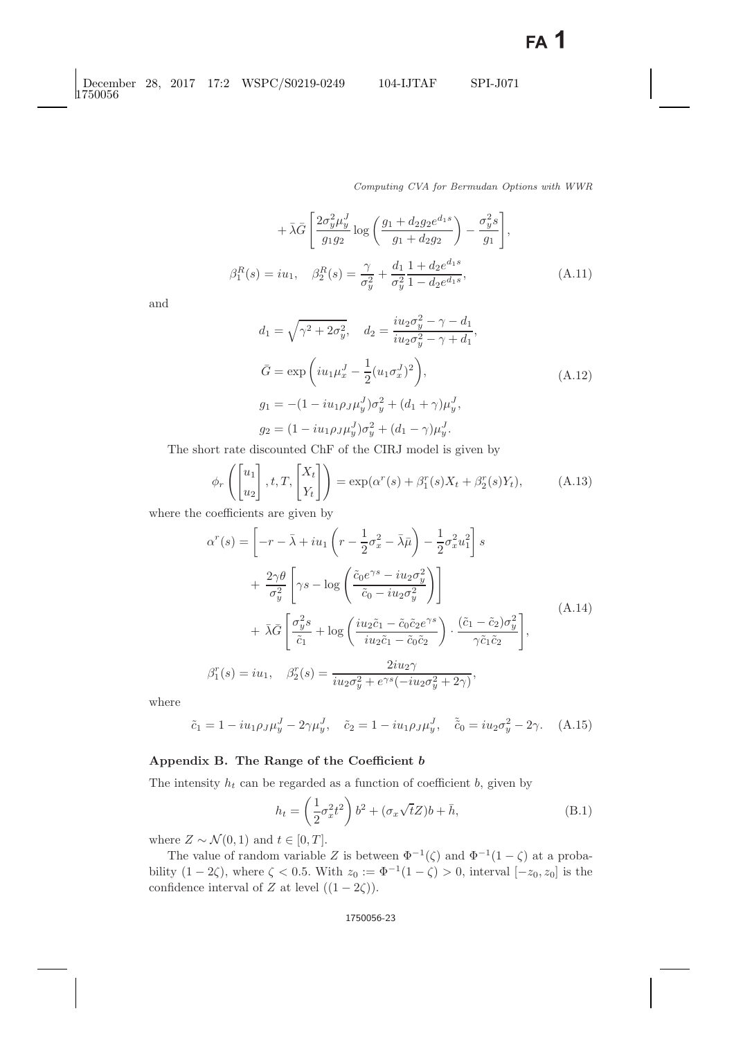*Computing CVA for Bermudan Options with WWR*

$$
+\bar{\lambda}\bar{G}\left[\frac{2\sigma_y^2\mu_y^J}{g_1g_2}\log\left(\frac{g_1+d_2g_2e^{d_1s}}{g_1+d_2g_2}\right)-\frac{\sigma_y^2s}{g_1}\right],
$$
  

$$
\beta_1^R(s) = i u_1, \quad \beta_2^R(s) = \frac{\gamma}{\sigma_y^2} + \frac{d_1}{\sigma_y^2}\frac{1+d_2e^{d_1s}}{1-d_2e^{d_1s}},
$$
(A.11)

and

$$
d_1 = \sqrt{\gamma^2 + 2\sigma_y^2}, \quad d_2 = \frac{iu_2\sigma_y^2 - \gamma - d_1}{iu_2\sigma_y^2 - \gamma + d_1},
$$
  
\n
$$
\bar{G} = \exp\left(iu_1\mu_x^J - \frac{1}{2}(u_1\sigma_x^J)^2\right),
$$
  
\n
$$
g_1 = -(1 - iu_1\rho_J\mu_y^J)\sigma_y^2 + (d_1 + \gamma)\mu_y^J,
$$
  
\n
$$
g_2 = (1 - iu_1\rho_J\mu_y^J)\sigma_y^2 + (d_1 - \gamma)\mu_y^J.
$$
\n(A.12)

The short rate discounted ChF of the CIRJ model is given by

$$
\phi_r\left(\begin{bmatrix} u_1 \\ u_2 \end{bmatrix}, t, T, \begin{bmatrix} X_t \\ Y_t \end{bmatrix}\right) = \exp(\alpha^r(s) + \beta_1^r(s)X_t + \beta_2^r(s)Y_t),\tag{A.13}
$$

where the coefficients are given by

$$
\alpha^{r}(s) = \left[ -r - \bar{\lambda} + iu_{1} \left( r - \frac{1}{2} \sigma_{x}^{2} - \bar{\lambda} \bar{\mu} \right) - \frac{1}{2} \sigma_{x}^{2} u_{1}^{2} \right] s
$$
  
+ 
$$
\frac{2\gamma \theta}{\sigma_{y}^{2}} \left[ \gamma s - \log \left( \frac{\tilde{c}_{0} e^{\gamma s} - iu_{2} \sigma_{y}^{2}}{\tilde{c}_{0} - iu_{2} \sigma_{y}^{2}} \right) \right]
$$
  
+ 
$$
\bar{\lambda} \bar{G} \left[ \frac{\sigma_{y}^{2} s}{\tilde{c}_{1}} + \log \left( \frac{iu_{2} \tilde{c}_{1} - \tilde{c}_{0} \tilde{c}_{2} e^{\gamma s}}{iu_{2} \tilde{c}_{1} - \tilde{c}_{0} \tilde{c}_{2}} \right) \cdot \frac{(\tilde{c}_{1} - \tilde{c}_{2}) \sigma_{y}^{2}}{\gamma \tilde{c}_{1} \tilde{c}_{2}} \right],
$$
  

$$
\beta_{1}^{r}(s) = iu_{1}, \quad \beta_{2}^{r}(s) = \frac{2i u_{2} \gamma}{i u_{2} \sigma_{y}^{2} + e^{\gamma s} (-i u_{2} \sigma_{y}^{2} + 2\gamma)},
$$
(A.14)

where

$$
\tilde{c}_1 = 1 - i u_1 \rho_J \mu_y^J - 2 \gamma \mu_y^J, \quad \tilde{c}_2 = 1 - i u_1 \rho_J \mu_y^J, \quad \tilde{\tilde{c}}_0 = i u_2 \sigma_y^2 - 2 \gamma. \quad (A.15)
$$

# **Appendix B. The Range of the Coefficient** *b*

<span id="page-22-0"></span>The intensity  $h_t$  can be regarded as a function of coefficient b, given by

$$
h_t = \left(\frac{1}{2}\sigma_x^2 t^2\right) b^2 + (\sigma_x \sqrt{t}Z)b + \bar{h},\tag{B.1}
$$

where  $Z \sim \mathcal{N}(0, 1)$  and  $t \in [0, T]$ .

The value of random variable Z is between  $\Phi^{-1}(\zeta)$  and  $\Phi^{-1}(1-\zeta)$  at a probability  $(1-2\zeta)$ , where  $\zeta < 0.5$ . With  $z_0 := \Phi^{-1}(1-\zeta) > 0$ , interval  $[-z_0, z_0]$  is the confidence interval of Z at level  $((1 - 2\zeta))$ .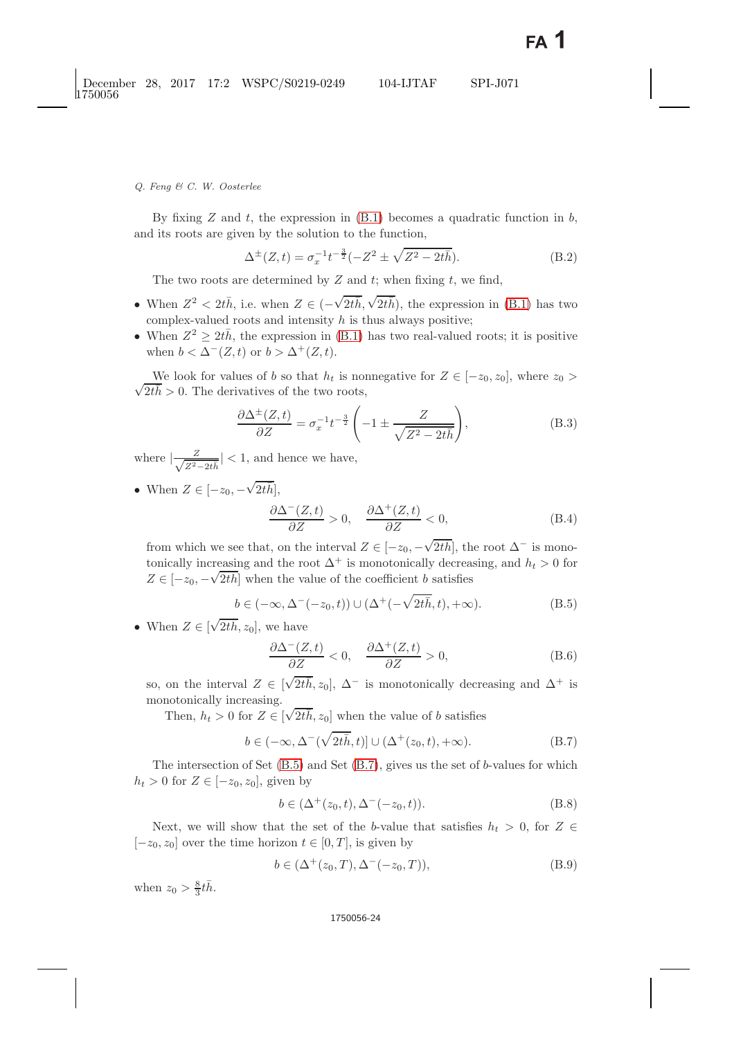By fixing  $Z$  and  $t$ , the expression in  $(B.1)$  becomes a quadratic function in  $b$ , and its roots are given by the solution to the function,

$$
\Delta^{\pm}(Z,t) = \sigma_x^{-1}t^{-\frac{3}{2}}(-Z^2 \pm \sqrt{Z^2 - 2t\bar{h}}). \tag{B.2}
$$

The two roots are determined by  $Z$  and  $t$ ; when fixing  $t$ , we find,

- When  $Z^2 < 2t\bar{h}$ , i.e. when  $Z \in (-\sqrt{2t\bar{h}}, \sqrt{2t\bar{h}})$ , the expression in [\(B.1\)](#page-22-0) has two complex-valued roots and intensity  $h$  is thus always positive;
- When  $Z^2 \geq 2t\bar{h}$ , the expression in [\(B.1\)](#page-22-0) has two real-valued roots; it is positive when  $b < \Delta^-(Z, t)$  or  $b > \Delta^+(Z, t)$ .

We look for values of b so that  $n_t$  is not<br> $\sqrt{2t\bar{h}} > 0$ . The derivatives of the two roots, We look for values of b so that  $h_t$  is nonnegative for  $Z \in [-z_0, z_0]$ , where  $z_0 >$ 

$$
\frac{\partial \Delta^{\pm}(Z,t)}{\partial Z} = \sigma_x^{-1} t^{-\frac{3}{2}} \left( -1 \pm \frac{Z}{\sqrt{Z^2 - 2t\bar{h}}} \right),\tag{B.3}
$$

where  $|\frac{Z}{\sqrt{Z^2 - 2t\bar{h}}}| < 1$ , and hence we have,

• When  $Z \in [-z_0, -]$  $\sqrt{2t\bar{h}}$ ],

$$
\frac{\partial \Delta^{-}(Z,t)}{\partial Z} > 0, \quad \frac{\partial \Delta^{+}(Z,t)}{\partial Z} < 0,
$$
\n(B.4)

from which we see that, on the interval  $Z \in [-z_0, -]$  $\sqrt{2t\bar{h}}$ , the root  $\Delta^-$  is monotonically increasing and the root  $\Delta^+$  is monotonically decreasing, and  $h_t > 0$  for  $Z \in [-z_0, -\sqrt{2t\bar{h}}]$  when the value of the coefficient b satisfies

$$
b \in (-\infty, \Delta^-(-z_0, t)) \cup (\Delta^+(-\sqrt{2t\bar{h}}, t), +\infty). \tag{B.5}
$$

<span id="page-23-0"></span>• When  $Z \in [$  $\sqrt{2t\bar{h}}$ ,  $z_0$ , we have

$$
\frac{\partial \Delta^{-}(Z,t)}{\partial Z} < 0, \quad \frac{\partial \Delta^{+}(Z,t)}{\partial Z} > 0,\tag{B.6}
$$

so, on the interval  $Z \in [$  $\sqrt{2t\hbar}$ ,  $z_0$ ],  $\Delta^-$  is monotonically decreasing and  $\Delta^+$  is monotonically increasing.

Then,  $h_t > 0$  for  $Z \in [$  $\sqrt{2t\overline{h}}$ ,  $z_0$ ] when the value of b satisfies

$$
b \in (-\infty, \Delta^{-}(\sqrt{2t\bar{h}}, t)] \cup (\Delta^{+}(z_0, t), +\infty). \tag{B.7}
$$

<span id="page-23-1"></span>The intersection of Set  $(B.5)$  and Set  $(B.7)$ , gives us the set of b-values for which  $h_t > 0$  for  $Z \in [-z_0, z_0]$ , given by

$$
b \in (\Delta^+(z_0, t), \Delta^-(-z_0, t)).
$$
 (B.8)

<span id="page-23-2"></span>Next, we will show that the set of the b-value that satisfies  $h_t > 0$ , for  $Z \in$  $[-z_0, z_0]$  over the time horizon  $t \in [0, T]$ , is given by

$$
b \in (\Delta^+(z_0, T), \Delta^-(-z_0, T)), \tag{B.9}
$$

when  $z_0 > \frac{8}{3}t\bar{h}$ .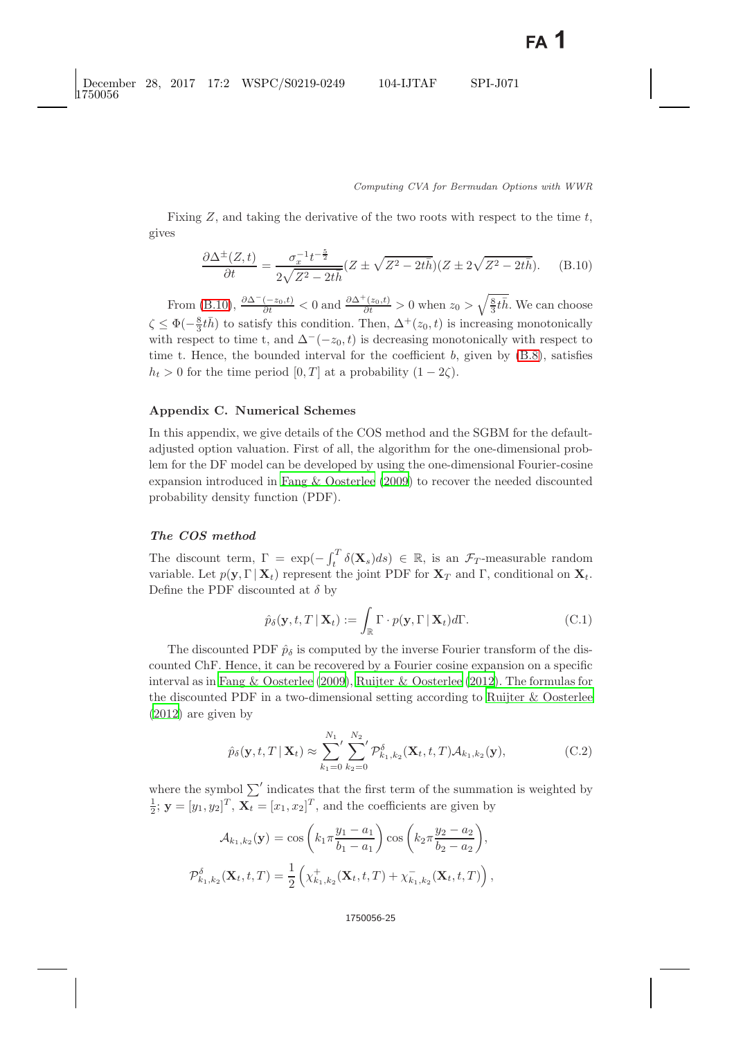Fixing  $Z$ , and taking the derivative of the two roots with respect to the time  $t$ , gives

$$
\frac{\partial \Delta^{\pm}(Z,t)}{\partial t} = \frac{\sigma_x^{-1} t^{-\frac{5}{2}}}{2\sqrt{Z^2 - 2t\bar{h}}} (Z \pm \sqrt{Z^2 - 2t\bar{h}})(Z \pm 2\sqrt{Z^2 - 2t\bar{h}}). \tag{B.10}
$$

<span id="page-24-0"></span>From [\(B.10\)](#page-24-0),  $\frac{\partial \Delta^{-}(-z_0,t)}{\partial t} < 0$  and  $\frac{\partial \Delta^{+}(z_0,t)}{\partial t} > 0$  when  $z_0 > \sqrt{\frac{8}{3}t\bar{h}}$ . We can choose  $\zeta \leq \Phi(-\frac{8}{3}t\bar{h})$  to satisfy this condition. Then,  $\Delta^+(z_0, t)$  is increasing monotonically<br>with respect to time t, and  $\Delta^-(z_0, t)$  is decreasing monotonically with respect to with respect to time t, and  $\Delta^{-}(-z_0, t)$  is decreasing monotonically with respect to time t. Hence, the bounded interval for the coefficient  $b$ , given by  $(B.8)$ , satisfies  $h_t > 0$  for the time period  $[0, T]$  at a probability  $(1 - 2\zeta)$ .

# **Appendix C. Numerical Schemes**

In this appendix, we give details of the COS method and the SGBM for the defaultadjusted option valuation. First of all, the algorithm for the one-dimensional problem for the DF model can be developed by using the one-dimensional Fourier-cosine expansion introduced in [Fang & Oosterlee](#page-29-18) [\(2009\)](#page-29-18) to recover the needed discounted probability density function (PDF).

## *The COS method*

The discount term,  $\Gamma = \exp(-\int_t^T \delta(\mathbf{X}_s)ds) \in \mathbb{R}$ , is an  $\mathcal{F}_T$ -measurable random variable. Let  $p(\mathbf{y}, \Gamma | \mathbf{X}_t)$  represent the joint PDF for  $\mathbf{X}_T$  and  $\Gamma$ , conditional on  $\mathbf{X}_t$ . Define the PDF discounted at  $\delta$  by

$$
\hat{p}_{\delta}(\mathbf{y}, t, T | \mathbf{X}_t) := \int_{\mathbb{R}} \Gamma \cdot p(\mathbf{y}, \Gamma | \mathbf{X}_t) d\Gamma.
$$
 (C.1)

The discounted PDF  $\hat{p}_{\delta}$  is computed by the inverse Fourier transform of the discounted ChF. Hence, it can be recovered by a Fourier cosine expansion on a specific interval as in [Fang & Oosterlee](#page-29-18) [\(2009\)](#page-29-18), [Ruijter & Oosterlee](#page-30-7) [\(2012\)](#page-30-7). The formulas for the discounted PDF in a two-dimensional setting according to [Ruijter & Oosterlee](#page-30-7) [\(2012\)](#page-30-7) are given by

$$
\hat{p}_{\delta}(\mathbf{y}, t, T | \mathbf{X}_t) \approx \sum_{k_1=0}^{N_1} \sum_{k_2=0}^{N_2} \mathcal{P}_{k_1, k_2}^{\delta}(\mathbf{X}_t, t, T) \mathcal{A}_{k_1, k_2}(\mathbf{y}),
$$
\n(C.2)

where the symbol  $\sum'$  indicates that the first term of the summation is weighted by  $\frac{1}{2}$ ;  $\mathbf{y} = [y_1, y_2]^T$ ,  $\overline{\mathbf{X}_t} = [x_1, x_2]^T$ , and the coefficients are given by

$$
\mathcal{A}_{k_1,k_2}(\mathbf{y}) = \cos\left(k_1 \pi \frac{y_1 - a_1}{b_1 - a_1}\right) \cos\left(k_2 \pi \frac{y_2 - a_2}{b_2 - a_2}\right),
$$

$$
\mathcal{P}_{k_1,k_2}^{\delta}(\mathbf{X}_t, t, T) = \frac{1}{2} \left( \chi_{k_1,k_2}^+(\mathbf{X}_t, t, T) + \chi_{k_1,k_2}^-(\mathbf{X}_t, t, T) \right),
$$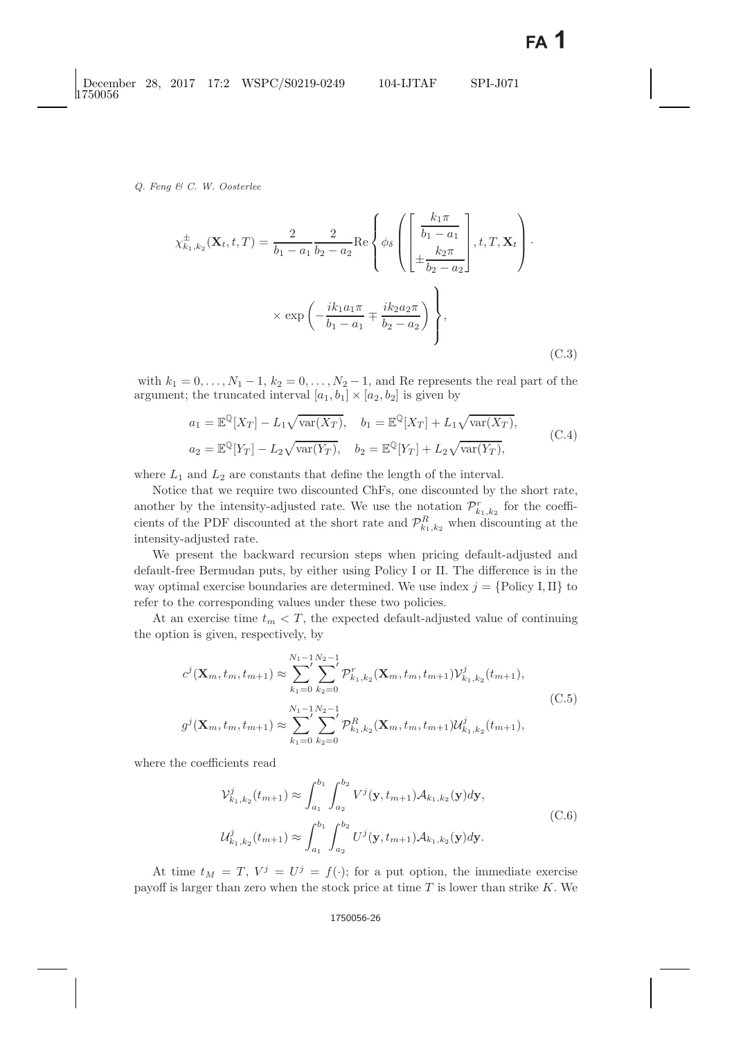$$
\chi_{k_1,k_2}^{\pm}(\mathbf{X}_t, t, T) = \frac{2}{b_1 - a_1} \frac{2}{b_2 - a_2} \text{Re}\left\{\phi_{\delta}\left(\begin{bmatrix} \frac{k_1 \pi}{b_1 - a_1} \\ \frac{k_2 \pi}{b_2 - a_2} \end{bmatrix}, t, T, \mathbf{X}_t\right) \cdot \times \exp\left(-\frac{ik_1 a_1 \pi}{b_1 - a_1} \mp \frac{ik_2 a_2 \pi}{b_2 - a_2}\right)\right\},\tag{C.3}
$$

with  $k_1 = 0, \ldots, N_1 - 1, k_2 = 0, \ldots, N_2 - 1$ , and Re represents the real part of the argument; the truncated interval  $[a_1, b_1] \times [a_2, b_2]$  is given by

$$
a_1 = \mathbb{E}^{\mathbb{Q}}[X_T] - L_1 \sqrt{\text{var}(X_T)}, \quad b_1 = \mathbb{E}^{\mathbb{Q}}[X_T] + L_1 \sqrt{\text{var}(X_T)},
$$
  
\n
$$
a_2 = \mathbb{E}^{\mathbb{Q}}[Y_T] - L_2 \sqrt{\text{var}(Y_T)}, \quad b_2 = \mathbb{E}^{\mathbb{Q}}[Y_T] + L_2 \sqrt{\text{var}(Y_T)},
$$
\n(C.4)

where  $L_1$  and  $L_2$  are constants that define the length of the interval.

Notice that we require two discounted ChFs, one discounted by the short rate, another by the intensity-adjusted rate. We use the notation  $\mathcal{P}_{k_1,k_2}^r$  for the coefficients of the PDF discounted at the short rate and  $\mathcal{P}_{k_1,k_2}^R$  when discounting at the intensity-adjusted rate.

We present the backward recursion steps when pricing default-adjusted and default-free Bermudan puts, by either using Policy I or II. The difference is in the way optimal exercise boundaries are determined. We use index  $j = \{ \text{Policy } I, II \}$  to refer to the corresponding values under these two policies.

At an exercise time  $t_m < T$ , the expected default-adjusted value of continuing the option is given, respectively, by

$$
c^{j}(\mathbf{X}_{m}, t_{m}, t_{m+1}) \approx \sum_{k_{1}=0}^{N_{1}-1} \sum_{k_{2}=0}^{N_{2}-1} \mathcal{P}_{k_{1}, k_{2}}^{r}(\mathbf{X}_{m}, t_{m}, t_{m+1}) \mathcal{V}_{k_{1}, k_{2}}^{j}(t_{m+1}),
$$
\n(C.5)\n
$$
g^{j}(\mathbf{X}_{m}, t_{m}, t_{m+1}) \approx \sum_{k_{1}=0}^{N_{1}-1} \sum_{k_{2}=0}^{N_{2}-1} \mathcal{P}_{k_{1}, k_{2}}^{R}(\mathbf{X}_{m}, t_{m}, t_{m+1}) \mathcal{U}_{k_{1}, k_{2}}^{j}(t_{m+1}),
$$

<span id="page-25-0"></span>where the coefficients read

$$
\mathcal{V}_{k_1,k_2}^j(t_{m+1}) \approx \int_{a_1}^{b_1} \int_{a_2}^{b_2} V^j(\mathbf{y}, t_{m+1}) \mathcal{A}_{k_1,k_2}(\mathbf{y}) d\mathbf{y},
$$
\n
$$
\mathcal{U}_{k_1,k_2}^j(t_{m+1}) \approx \int_{a_1}^{b_1} \int_{a_2}^{b_2} U^j(\mathbf{y}, t_{m+1}) \mathcal{A}_{k_1,k_2}(\mathbf{y}) d\mathbf{y}.
$$
\n(C.6)

At time  $t_M = T$ ,  $V^j = U^j = f(\cdot)$ ; for a put option, the immediate exercise payoff is larger than zero when the stock price at time  $T$  is lower than strike  $K$ . We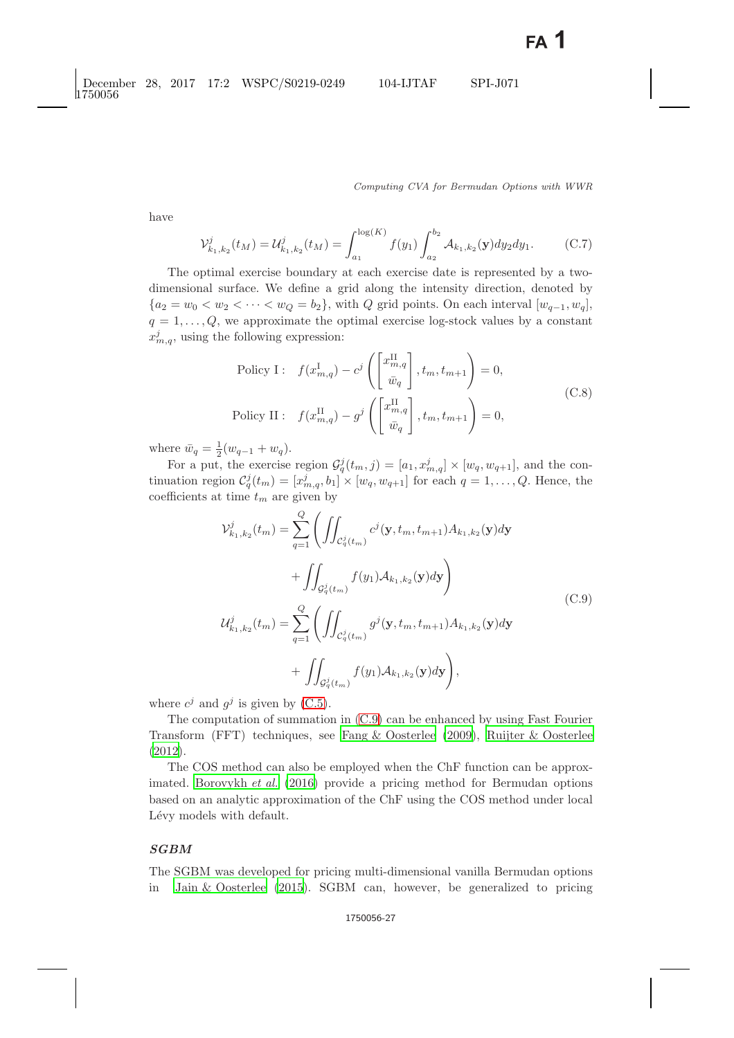have

$$
\mathcal{V}_{k_1,k_2}^j(t_M) = \mathcal{U}_{k_1,k_2}^j(t_M) = \int_{a_1}^{\log(K)} f(y_1) \int_{a_2}^{b_2} \mathcal{A}_{k_1,k_2}(\mathbf{y}) dy_2 dy_1.
$$
 (C.7)

The optimal exercise boundary at each exercise date is represented by a twodimensional surface. We define a grid along the intensity direction, denoted by  ${a_2 = w_0 < w_2 < \cdots < w_Q = b_2}$ , with Q grid points. On each interval  $[w_{q-1}, w_q]$ ,  $q = 1, \ldots, Q$ , we approximate the optimal exercise log-stock values by a constant  $x_{m,q}^j$ , using the following expression:

$$
\begin{aligned}\n\text{Policy I:} \quad & f(x_{m,q}^{\text{I}}) - c^j \left( \begin{bmatrix} x_{m,q}^{\text{II}} \\ \bar{w}_q \end{bmatrix}, t_m, t_{m+1} \right) = 0, \\
\text{Policy II:} \quad & f(x_{m,q}^{\text{II}}) - g^j \left( \begin{bmatrix} x_{m,q}^{\text{II}} \\ \bar{w}_q \end{bmatrix}, t_m, t_{m+1} \right) = 0,\n\end{aligned} \tag{C.8}
$$

where  $\bar{w}_q = \frac{1}{2}(w_{q-1} + w_q)$ .<br>For a put the exercise

For a put, the exercise region  $\mathcal{G}_q^j(t_m, j) = [a_1, x_m^j] \times [w_q, w_{q+1}]$ , and the continuation region  $C_q^j(t_m) = [x_{m,q}^j, b_1]^{\mathbb{I}} \times [w_q, w_{q+1}]$  for each  $q = 1, \ldots, Q$ . Hence, the coefficients at time  $t_m$  are given by

$$
\mathcal{V}_{k_1,k_2}^{j}(t_m) = \sum_{q=1}^{Q} \left( \iint_{\mathcal{C}_q^{j}(t_m)} c^j(\mathbf{y}, t_m, t_{m+1}) A_{k_1,k_2}(\mathbf{y}) d\mathbf{y} \right. \n+ \iint_{\mathcal{G}_q^{j}(t_m)} f(y_1) \mathcal{A}_{k_1,k_2}(\mathbf{y}) d\mathbf{y} \right) \n\mathcal{U}_{k_1,k_2}^{j}(t_m) = \sum_{q=1}^{Q} \left( \iint_{\mathcal{C}_q^{j}(t_m)} g^j(\mathbf{y}, t_m, t_{m+1}) A_{k_1,k_2}(\mathbf{y}) d\mathbf{y} \right. \n+ \iint_{\mathcal{G}_q^{j}(t_m)} f(y_1) \mathcal{A}_{k_1,k_2}(\mathbf{y}) d\mathbf{y} \right),
$$
\n(C.9)

<span id="page-26-0"></span>where  $c^j$  and  $g^j$  is given by [\(C.5\)](#page-25-0).

The computation of summation in [\(C.9\)](#page-26-0) can be enhanced by using Fast Fourier Transform (FFT) techniques, see [Fang & Oosterlee](#page-29-18) [\(2009\)](#page-29-18), [Ruijter & Oosterlee](#page-30-7) [\(2012\)](#page-30-7).

The COS method can also be employed when the ChF function can be approximated. [Borovykh](#page-29-19) *et al.* [\(2016\)](#page-29-19) provide a pricing method for Bermudan options based on an analytic approximation of the ChF using the COS method under local Lévy models with default.

# *SGBM*

The SGBM was developed for pricing multi-dimensional vanilla Bermudan options in [Jain & Oosterlee](#page-30-8) [\(2015\)](#page-30-8). SGBM can, however, be generalized to pricing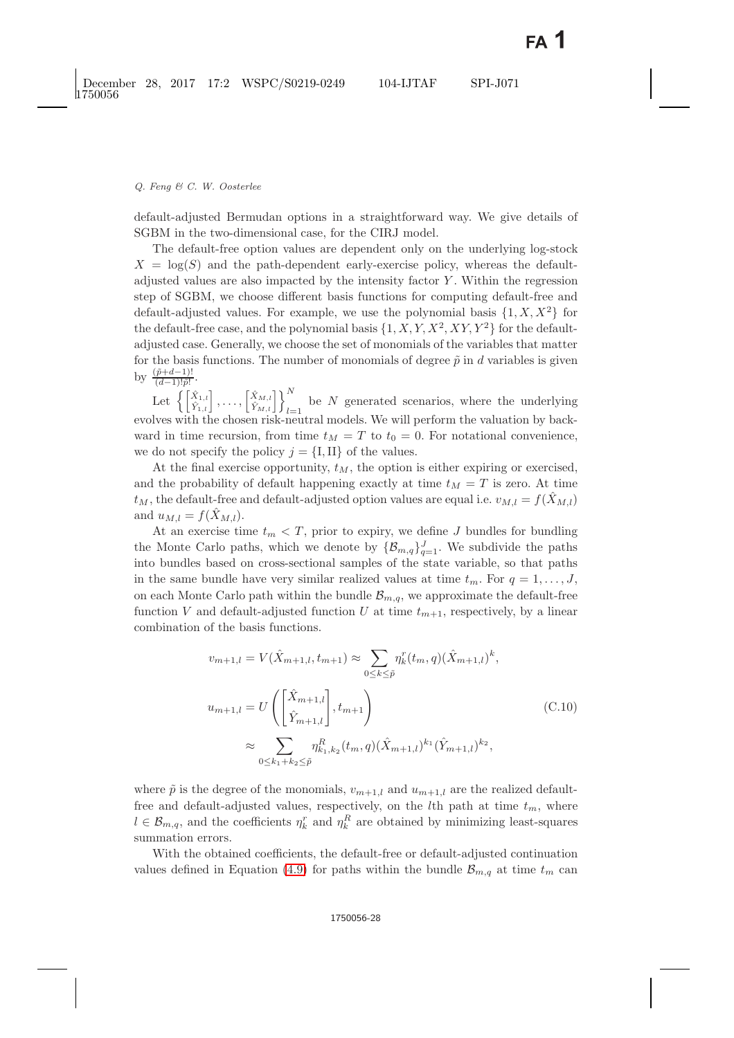default-adjusted Bermudan options in a straightforward way. We give details of SGBM in the two-dimensional case, for the CIRJ model.

The default-free option values are dependent only on the underlying log-stock  $X = \log(S)$  and the path-dependent early-exercise policy, whereas the defaultadjusted values are also impacted by the intensity factor Y . Within the regression step of SGBM, we choose different basis functions for computing default-free and default-adjusted values. For example, we use the polynomial basis  $\{1, X, X^2\}$  for the default-free case, and the polynomial basis  $\{1, X, Y, X^2, XY, Y^2\}$  for the defaultadjusted case. Generally, we choose the set of monomials of the variables that matter for the basis functions. The number of monomials of degree  $\tilde{p}$  in d variables is given by  $\frac{(\tilde{p}+d-1)!}{(d-1)!\tilde{p}!}$ .

Let  $\left\{ \begin{bmatrix} \hat{X}_{1,l} \\ \hat{Y}_{1,l} \end{bmatrix}, \ldots, \begin{bmatrix} \hat{X}_{M,l} \\ \hat{Y}_{M,l} \end{bmatrix} \right\}_{l=1}^{N}$  be N generated scenarios, where the underlying lyes with the chosen risk-neutral models. We will perform the valuation by backevolves with the chosen risk-neutral models. We will perform the valuation by backward in time recursion, from time  $t_M = T$  to  $t_0 = 0$ . For notational convenience, we do not specify the policy  $j = \{I, II\}$  of the values.

At the final exercise opportunity,  $t_M$ , the option is either expiring or exercised, and the probability of default happening exactly at time  $t_M = T$  is zero. At time  $t_M$ , the default-free and default-adjusted option values are equal i.e.  $v_{M,l} = f(\hat{X}_{M,l})$ and  $u_{M,l} = f(\hat{X}_{M,l}).$ 

At an exercise time  $t_m < T$ , prior to expiry, we define J bundles for bundling the Monte Carlo paths, which we denote by  $\{\mathcal{B}_{m,q}\}_{q=1}^J$ . We subdivide the paths into bundles based on cross-sectional samples of the state variable, so that paths in the same bundle have very similar realized values at time  $t_m$ . For  $q = 1, \ldots, J$ , on each Monte Carlo path within the bundle  $\mathcal{B}_{m,q}$ , we approximate the default-free function V and default-adjusted function U at time  $t_{m+1}$ , respectively, by a linear combination of the basis functions.

$$
v_{m+1,l} = V(\hat{X}_{m+1,l}, t_{m+1}) \approx \sum_{0 \le k \le \tilde{p}} \eta_k^r(t_m, q) (\hat{X}_{m+1,l})^k,
$$
  

$$
u_{m+1,l} = U\left(\begin{bmatrix} \hat{X}_{m+1,l} \\ \hat{Y}_{m+1,l} \end{bmatrix}, t_{m+1}\right)
$$
  

$$
\approx \sum_{0 \le k_1 + k_2 \le \tilde{p}} \eta_{k_1, k_2}^R(t_m, q) (\hat{X}_{m+1,l})^{k_1} (\hat{Y}_{m+1,l})^{k_2},
$$
  
(C.10)

where  $\tilde{p}$  is the degree of the monomials,  $v_{m+1,l}$  and  $u_{m+1,l}$  are the realized defaultfree and default-adjusted values, respectively, on the  $l$ th path at time  $t_m$ , where  $l \in \mathcal{B}_{m,q}$ , and the coefficients  $\eta_k^r$  and  $\eta_k^R$  are obtained by minimizing least-squares summation errors.

With the obtained coefficients, the default-free or default-adjusted continuation values defined in Equation [\(4.9\)](#page-9-0) for paths within the bundle  $\mathcal{B}_{m,q}$  at time  $t_m$  can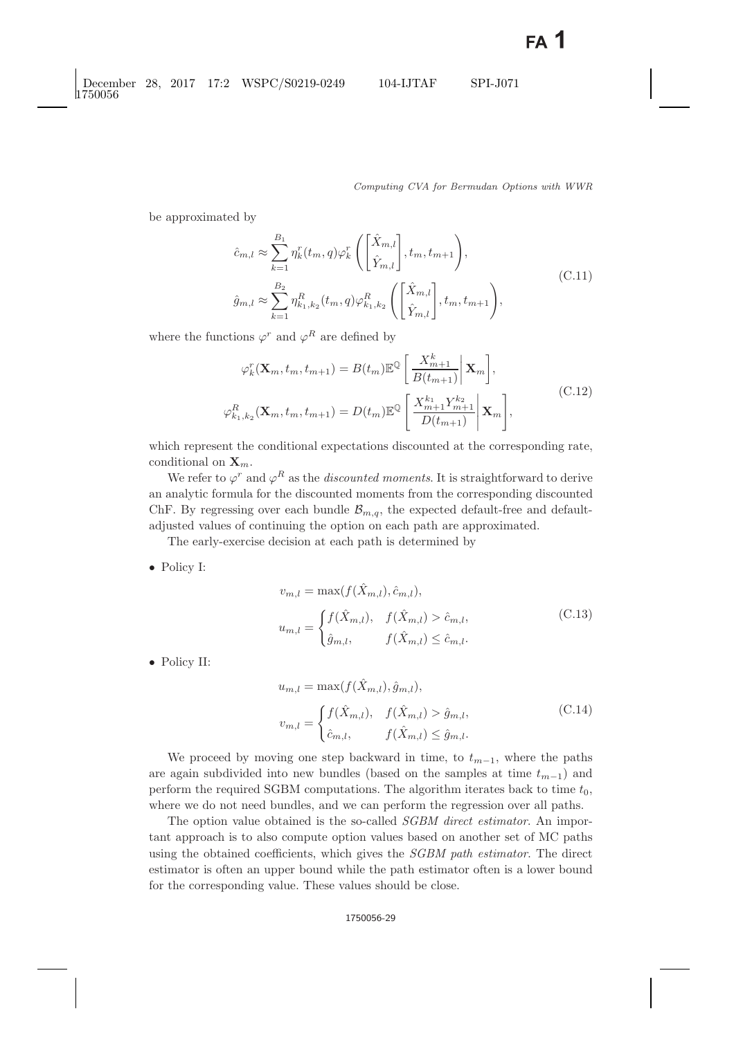be approximated by

$$
\hat{c}_{m,l} \approx \sum_{k=1}^{B_1} \eta_k^r(t_m, q) \varphi_k^r \left( \begin{bmatrix} \hat{X}_{m,l} \\ \hat{Y}_{m,l} \end{bmatrix}, t_m, t_{m+1} \right),
$$
\n
$$
\hat{g}_{m,l} \approx \sum_{k=1}^{B_2} \eta_{k_1, k_2}^R(t_m, q) \varphi_{k_1, k_2}^R \left( \begin{bmatrix} \hat{X}_{m,l} \\ \hat{Y}_{m,l} \end{bmatrix}, t_m, t_{m+1} \right),
$$
\n(C.11)

where the functions  $\varphi^r$  and  $\varphi^R$  are defined by

$$
\varphi_k^r(\mathbf{X}_m, t_m, t_{m+1}) = B(t_m) \mathbb{E}^{\mathbb{Q}} \left[ \frac{X_{m+1}^k}{B(t_{m+1})} \middle| \mathbf{X}_m \right],
$$
\n
$$
\varphi_{k_1, k_2}^R(\mathbf{X}_m, t_m, t_{m+1}) = D(t_m) \mathbb{E}^{\mathbb{Q}} \left[ \frac{X_{m+1}^{k_1} Y_{m+1}^{k_2}}{D(t_{m+1})} \middle| \mathbf{X}_m \right],
$$
\n(C.12)

which represent the conditional expectations discounted at the corresponding rate, conditional on  $\mathbf{X}_m$ .

We refer to  $\varphi^r$  and  $\varphi^R$  as the *discounted moments*. It is straightforward to derive an analytic formula for the discounted moments from the corresponding discounted ChF. By regressing over each bundle  $\mathcal{B}_{m,q}$ , the expected default-free and defaultadjusted values of continuing the option on each path are approximated.

The early-exercise decision at each path is determined by

• Policy I:

$$
v_{m,l} = \max(f(\hat{X}_{m,l}), \hat{c}_{m,l}),
$$
  

$$
u_{m,l} = \begin{cases} f(\hat{X}_{m,l}), & f(\hat{X}_{m,l}) > \hat{c}_{m,l}, \\ \hat{g}_{m,l}, & f(\hat{X}_{m,l}) \le \hat{c}_{m,l}. \end{cases}
$$
(C.13)

• Policy II:

$$
u_{m,l} = \max(f(\hat{X}_{m,l}), \hat{g}_{m,l}),
$$
  

$$
v_{m,l} = \begin{cases} f(\hat{X}_{m,l}), & f(\hat{X}_{m,l}) > \hat{g}_{m,l}, \\ \hat{c}_{m,l}, & f(\hat{X}_{m,l}) \leq \hat{g}_{m,l}. \end{cases}
$$
(C.14)

We proceed by moving one step backward in time, to  $t_{m-1}$ , where the paths are again subdivided into new bundles (based on the samples at time  $t_{m-1}$ ) and perform the required SGBM computations. The algorithm iterates back to time  $t_0$ , where we do not need bundles, and we can perform the regression over all paths.

The option value obtained is the so-called *SGBM direct estimator*. An important approach is to also compute option values based on another set of MC paths using the obtained coefficients, which gives the *SGBM path estimator*. The direct estimator is often an upper bound while the path estimator often is a lower bound for the corresponding value. These values should be close.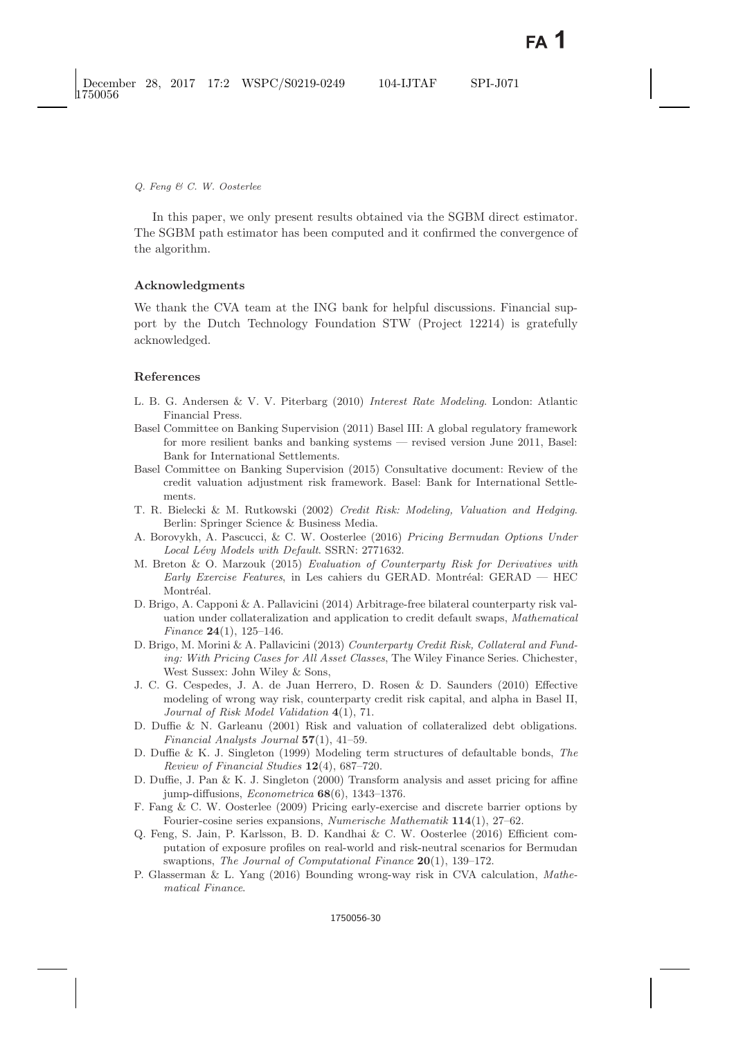In this paper, we only present results obtained via the SGBM direct estimator. The SGBM path estimator has been computed and it confirmed the convergence of the algorithm.

# **Acknowledgments**

We thank the CVA team at the ING bank for helpful discussions. Financial support by the Dutch Technology Foundation STW (Project 12214) is gratefully acknowledged.

# <span id="page-29-0"></span>**References**

- <span id="page-29-13"></span>L. B. G. Andersen & V. V. Piterbarg (2010) *Interest Rate Modeling*. London: Atlantic Financial Press.
- <span id="page-29-2"></span><span id="page-29-1"></span>Basel Committee on Banking Supervision (2011) Basel III: A global regulatory framework for more resilient banks and banking systems — revised version June 2011, Basel: Bank for International Settlements.
- <span id="page-29-15"></span>Basel Committee on Banking Supervision (2015) Consultative document: Review of the credit valuation adjustment risk framework. Basel: Bank for International Settlements.
- <span id="page-29-10"></span><span id="page-29-9"></span>T. R. Bielecki & M. Rutkowski (2002) *Credit Risk: Modeling, Valuation and Hedging*. Berlin: Springer Science & Business Media.
- <span id="page-29-19"></span>A. Borovykh, A. Pascucci, & C. W. Oosterlee (2016) *Pricing Bermudan Options Under Local L´evy Models with Default*. SSRN: 2771632.
- <span id="page-29-6"></span>M. Breton & O. Marzouk (2015) *Evaluation of Counterparty Risk for Derivatives with Early Exercise Features*, in Les cahiers du GERAD. Montréal: GERAD — HEC Montréal.
- <span id="page-29-12"></span><span id="page-29-4"></span>D. Brigo, A. Capponi & A. Pallavicini (2014) Arbitrage-free bilateral counterparty risk valuation under collateralization and application to credit default swaps, *Mathematical Finance* **24**(1), 125–146.
- <span id="page-29-16"></span>D. Brigo, M. Morini & A. Pallavicini (2013) *Counterparty Credit Risk, Collateral and Funding: With Pricing Cases for All Asset Classes*, The Wiley Finance Series. Chichester, West Sussex: John Wiley & Sons,
- <span id="page-29-3"></span>J. C. G. Cespedes, J. A. de Juan Herrero, D. Rosen & D. Saunders (2010) Effective modeling of wrong way risk, counterparty credit risk capital, and alpha in Basel II, *Journal of Risk Model Validation* **4**(1), 71.
- <span id="page-29-11"></span>D. Duffie & N. Garleanu (2001) Risk and valuation of collateralized debt obligations. *Financial Analysts Journal* **57**(1), 41–59.
- <span id="page-29-14"></span><span id="page-29-8"></span>D. Duffie & K. J. Singleton (1999) Modeling term structures of defaultable bonds, *The Review of Financial Studies* **12**(4), 687–720.
- <span id="page-29-7"></span>D. Duffie, J. Pan & K. J. Singleton (2000) Transform analysis and asset pricing for affine jump-diffusions, *Econometrica* **68**(6), 1343–1376.
- <span id="page-29-18"></span>F. Fang & C. W. Oosterlee (2009) Pricing early-exercise and discrete barrier options by Fourier-cosine series expansions, *Numerische Mathematik* **114**(1), 27–62.
- <span id="page-29-17"></span>Q. Feng, S. Jain, P. Karlsson, B. D. Kandhai & C. W. Oosterlee (2016) Efficient computation of exposure profiles on real-world and risk-neutral scenarios for Bermudan swaptions, *The Journal of Computational Finance* **20**(1), 139–172.
- <span id="page-29-5"></span>P. Glasserman & L. Yang (2016) Bounding wrong-way risk in CVA calculation, *Mathematical Finance*.